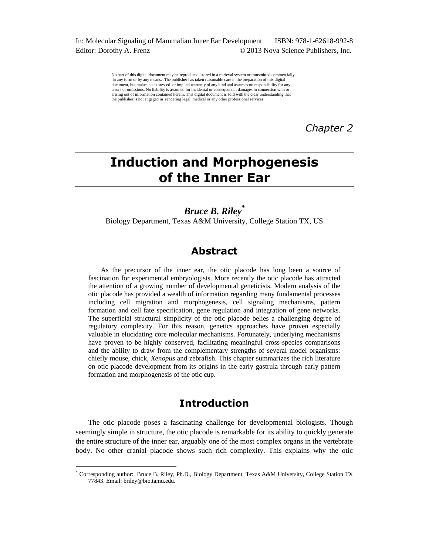In: Molecular Signaling of Mammalian Inner Ear Development ISBN: 978-1-62618-992-8 Editor: Dorothy A. Frenz  $\odot$  2013 Nova Science Publishers, Inc.

> No part of this digital document may be reproduced, stored in a retrieval system or transmitted commercially in any form or by any means. The publisher has taken reasonable care in the preparation of this digital document, but makes no expressed or implied warranty of any kind and assumes no responsibility for any errors or omissions. No liability is assumed for incidental or consequential damages in connection with or arising out of information contained herein. This digital document is sold with the clear understanding that the publisher is not engaged in rendering legal, medical or any other professional services.

> > *Chapter 2*

# **Induction and Morphogenesis of the Inner Ear**

*Bruce B. Riley\** Biology Department, Texas A&M University, College Station TX, US

# **Abstract**

As the precursor of the inner ear, the otic placode has long been a source of fascination for experimental embryologists. More recently the otic placode has attracted the attention of a growing number of developmental geneticists. Modern analysis of the otic placode has provided a wealth of information regarding many fundamental processes including cell migration and morphogenesis, cell signaling mechanisms, pattern formation and cell fate specification, gene regulation and integration of gene networks. The superficial structural simplicity of the otic placode belies a challenging degree of regulatory complexity. For this reason, genetics approaches have proven especially valuable in elucidating core molecular mechanisms. Fortunately, underlying mechanisms have proven to be highly conserved, facilitating meaningful cross-species comparisons and the ability to draw from the complementary strengths of several model organisms: chiefly mouse, chick, *Xenopus* and zebrafish. This chapter summarizes the rich literature on otic placode development from its origins in the early gastrula through early pattern formation and morphogenesis of the otic cup.

# **Introduction**

The otic placode poses a fascinating challenge for developmental biologists. Though seemingly simple in structure, the otic placode is remarkable for its ability to quickly generate the entire structure of the inner ear, arguably one of the most complex organs in the vertebrate body. No other cranial placode shows such rich complexity. This explains why the otic

 $\overline{a}$ 

<sup>\*</sup> Corresponding author: Bruce B. Riley, Ph.D., Biology Department, Texas A&M University, College Station TX 77843. Email: briley@bio.tamu.edu.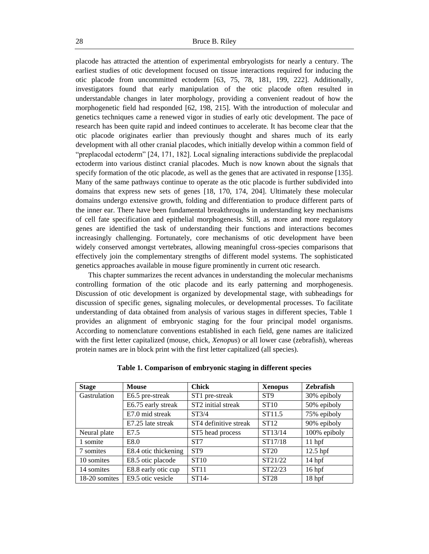placode has attracted the attention of experimental embryologists for nearly a century. The earliest studies of otic development focused on tissue interactions required for inducing the otic placode from uncommitted ectoderm [63, 75, 78, 181, 199, 222]. Additionally, investigators found that early manipulation of the otic placode often resulted in understandable changes in later morphology, providing a convenient readout of how the morphogenetic field had responded [62, 198, 215]. With the introduction of molecular and genetics techniques came a renewed vigor in studies of early otic development. The pace of research has been quite rapid and indeed continues to accelerate. It has become clear that the otic placode originates earlier than previously thought and shares much of its early development with all other cranial placodes, which initially develop within a common field of "preplacodal ectoderm" [24, 171, 182]. Local signaling interactions subdivide the preplacodal ectoderm into various distinct cranial placodes. Much is now known about the signals that specify formation of the otic placode, as well as the genes that are activated in response [135]. Many of the same pathways continue to operate as the otic placode is further subdivided into domains that express new sets of genes [18, 170, 174, 204]. Ultimately these molecular domains undergo extensive growth, folding and differentiation to produce different parts of the inner ear. There have been fundamental breakthroughs in understanding key mechanisms of cell fate specification and epithelial morphogenesis. Still, as more and more regulatory genes are identified the task of understanding their functions and interactions becomes increasingly challenging. Fortunately, core mechanisms of otic development have been widely conserved amongst vertebrates, allowing meaningful cross-species comparisons that effectively join the complementary strengths of different model systems. The sophisticated genetics approaches available in mouse figure prominently in current otic research.

This chapter summarizes the recent advances in understanding the molecular mechanisms controlling formation of the otic placode and its early patterning and morphogenesis. Discussion of otic development is organized by developmental stage, with subheadings for discussion of specific genes, signaling molecules, or developmental processes. To facilitate understanding of data obtained from analysis of various stages in different species, Table 1 provides an alignment of embryonic staging for the four principal model organisms. According to nomenclature conventions established in each field, gene names are italicized with the first letter capitalized (mouse, chick, *Xenopus*) or all lower case (zebrafish), whereas protein names are in block print with the first letter capitalized (all species).

| <b>Stage</b>  | <b>Mouse</b>         | <b>Chick</b>          | <b>Xenopus</b>     | Zebrafish         |
|---------------|----------------------|-----------------------|--------------------|-------------------|
| Gastrulation  | E6.5 pre-streak      | ST1 pre-streak        | ST <sub>9</sub>    | 30% epiboly       |
|               | E6.75 early streak   | ST2 initial streak    | <b>ST10</b>        | 50% epiboly       |
|               | E7.0 mid streak      | ST3/4                 | ST <sub>11.5</sub> | 75% epiboly       |
|               | E7.25 late streak    | ST4 definitive streak | ST12               | 90% epiboly       |
| Neural plate  | E7.5                 | ST5 head process      | ST13/14            | 100% epiboly      |
| 1 somite      | E8.0                 | ST <sub>7</sub>       | ST17/18            | $11$ hpf          |
| 7 somites     | E8.4 otic thickening | ST <sub>9</sub>       | ST <sub>20</sub>   | $12.5$ hpf        |
| 10 somites    | E8.5 otic placode    | <b>ST10</b>           | ST21/22            | 14 <sub>hpf</sub> |
| 14 somites    | E8.8 early otic cup  | ST11                  | ST22/23            | 16 <sub>hpf</sub> |
| 18-20 somites | E9.5 otic vesicle    | $ST14-$               | <b>ST28</b>        | 18 hpf            |

#### **Table 1. Comparison of embryonic staging in different species**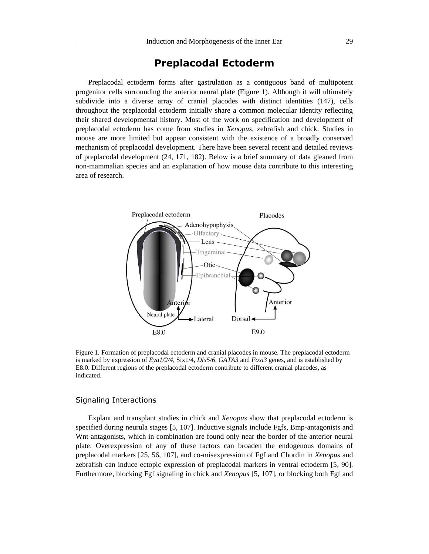# **Preplacodal Ectoderm**

Preplacodal ectoderm forms after gastrulation as a contiguous band of multipotent progenitor cells surrounding the anterior neural plate (Figure 1). Although it will ultimately subdivide into a diverse array of cranial placodes with distinct identities (147), cells throughout the preplacodal ectoderm initially share a common molecular identity reflecting their shared developmental history. Most of the work on specification and development of preplacodal ectoderm has come from studies in *Xenopus*, zebrafish and chick. Studies in mouse are more limited but appear consistent with the existence of a broadly conserved mechanism of preplacodal development. There have been several recent and detailed reviews of preplacodal development (24, 171, 182). Below is a brief summary of data gleaned from non-mammalian species and an explanation of how mouse data contribute to this interesting area of research.



Figure 1. Formation of preplacodal ectoderm and cranial placodes in mouse. The preplacodal ectoderm is marked by expression of *Eya1/2/4*, Six1/4, *Dlx5/6*, *GATA3* and *Foxi3* genes, and is established by E8.0. Different regions of the preplacodal ectoderm contribute to different cranial placodes, as indicated.

# Signaling Interactions

Explant and transplant studies in chick and *Xenopus* show that preplacodal ectoderm is specified during neurula stages [5, 107]. Inductive signals include Fgfs, Bmp-antagonists and Wnt-antagonists, which in combination are found only near the border of the anterior neural plate. Overexpression of any of these factors can broaden the endogenous domains of preplacodal markers [25, 56, 107], and co-misexpression of Fgf and Chordin in *Xenopus* and zebrafish can induce ectopic expression of preplacodal markers in ventral ectoderm [5, 90]. Furthermore, blocking Fgf signaling in chick and *Xenopus* [5, 107], or blocking both Fgf and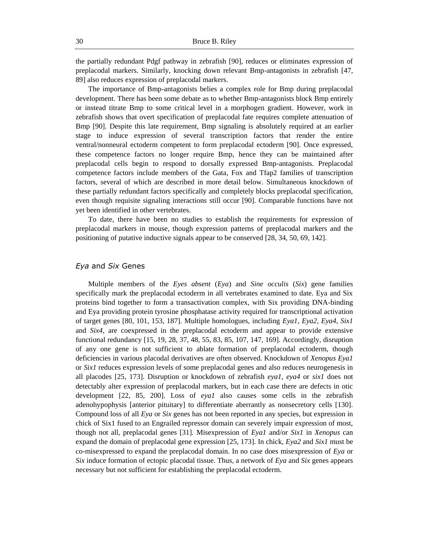the partially redundant Pdgf pathway in zebrafish [90], reduces or eliminates expression of preplacodal markers. Similarly, knocking down relevant Bmp-antagonists in zebrafish [47, 89] also reduces expression of preplacodal markers.

The importance of Bmp-antagonists belies a complex role for Bmp during preplacodal development. There has been some debate as to whether Bmp-antagonists block Bmp entirely or instead titrate Bmp to some critical level in a morphogen gradient. However, work in zebrafish shows that overt specification of preplacodal fate requires complete attenuation of Bmp [90]. Despite this late requirement, Bmp signaling is absolutely required at an earlier stage to induce expression of several transcription factors that render the entire ventral/nonneural ectoderm competent to form preplacodal ectoderm [90]. Once expressed, these competence factors no longer require Bmp, hence they can be maintained after preplacodal cells begin to respond to dorsally expressed Bmp-antagonists. Preplacodal competence factors include members of the Gata, Fox and Tfap2 families of transcription factors, several of which are described in more detail below. Simultaneous knockdown of these partially redundant factors specifically and completely blocks preplacodal specification, even though requisite signaling interactions still occur [90]. Comparable functions have not yet been identified in other vertebrates.

To date, there have been no studies to establish the requirements for expression of preplacodal markers in mouse, though expression patterns of preplacodal markers and the positioning of putative inductive signals appear to be conserved [28, 34, 50, 69, 142].

### *Eya* and *Six* Genes

Multiple members of the *Eyes absent* (*Eya*) and *Sine occulis* (*Six*) gene families specifically mark the preplacodal ectoderm in all vertebrates examined to date. Eya and Six proteins bind together to form a transactivation complex, with Six providing DNA-binding and Eya providing protein tyrosine phosphatase activity required for transcriptional activation of target genes [80, 101, 153, 187]. Multiple homologues, including *Eya1*, *Eya2*, *Eya4*, *Six1* and *Six4*, are coexpressed in the preplacodal ectoderm and appear to provide extensive functional redundancy [15, 19, 28, 37, 48, 55, 83, 85, 107, 147, 169]. Accordingly, disruption of any one gene is not sufficient to ablate formation of preplacodal ectoderm, though deficiencies in various placodal derivatives are often observed. Knockdown of *Xenopus Eya1* or *Six1* reduces expression levels of some preplacodal genes and also reduces neurogenesis in all placodes [25, 173]. Disruption or knockdown of zebrafish *eya1*, *eya4* or *six1* does not detectably alter expression of preplacodal markers, but in each case there are defects in otic development [22, 85, 200]. Loss of *eya1* also causes some cells in the zebrafish adenohypophysis [anterior pituitary] to differentiate aberrantly as nonsecretory cells [130]. Compound loss of all *Eya* or *Six* genes has not been reported in any species, but expression in chick of Six1 fused to an Engrailed repressor domain can severely impair expression of most, though not all, preplacodal genes [31]. Misexpression of *Eya1* and/or *Six1* in *Xenopus* can expand the domain of preplacodal gene expression [25, 173]. In chick, *Eya2* and *Six1* must be co-misexpressed to expand the preplacodal domain. In no case does misexpression of *Eya* or *Six* induce formation of ectopic placodal tissue. Thus, a network of *Eya* and *Six* genes appears necessary but not sufficient for establishing the preplacodal ectoderm.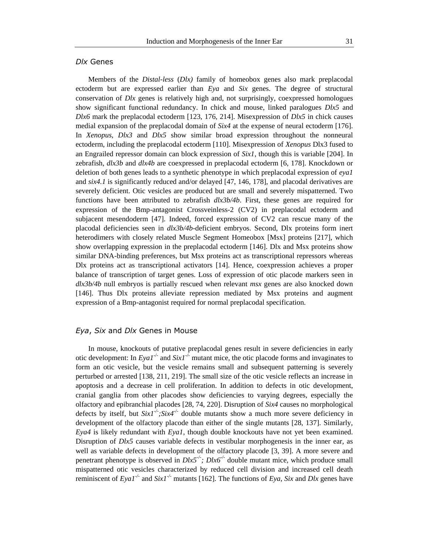# *Dlx* Genes

Members of the *Distal-less* (*Dlx)* family of homeobox genes also mark preplacodal ectoderm but are expressed earlier than *Eya* and *Six* genes. The degree of structural conservation of *Dlx* genes is relatively high and, not surprisingly, coexpressed homologues show significant functional redundancy. In chick and mouse, linked paralogues *Dlx5* and *Dlx6* mark the preplacodal ectoderm [123, 176, 214]. Misexpression of *Dlx5* in chick causes medial expansion of the preplacodal domain of *Six4* at the expense of neural ectoderm [176]. In *Xenopus*, *Dlx3* and *Dlx5* show similar broad expression throughout the nonneural ectoderm, including the preplacodal ectoderm [110]. Misexpression of *Xenopus* Dlx3 fused to an Engrailed repressor domain can block expression of *Six1*, though this is variable [204]. In zebrafish, *dlx3b* and *dlx4b* are coexpressed in preplacodal ectoderm [6, 178]. Knockdown or deletion of both genes leads to a synthetic phenotype in which preplacodal expression of *eya1*  and *six4.1* is significantly reduced and/or delayed [47, 146, 178], and placodal derivatives are severely deficient. Otic vesicles are produced but are small and severely mispatterned. Two functions have been attributed to zebrafish *dlx3b/4b*. First, these genes are required for expression of the Bmp-antagonist Crossveinless-2 (CV2) in preplacodal ectoderm and subjacent mesendoderm [47]. Indeed, forced expression of CV2 can rescue many of the placodal deficiencies seen in *dlx3b/4b*-deficient embryos. Second, Dlx proteins form inert heterodimers with closely related Muscle Segment Homeobox [Msx] proteins [217], which show overlapping expression in the preplacodal ectoderm [146]. Dlx and Msx proteins show similar DNA-binding preferences, but Msx proteins act as transcriptional repressors whereas Dlx proteins act as transcriptional activators [14]. Hence, coexpression achieves a proper balance of transcription of target genes. Loss of expression of otic placode markers seen in *dlx3b/4b* null embryos is partially rescued when relevant *msx* genes are also knocked down [146]. Thus Dlx proteins alleviate repression mediated by Msx proteins and augment expression of a Bmp-antagonist required for normal preplacodal specification.

# *Eya*, *Six* and *Dlx* Genes in Mouse

In mouse, knockouts of putative preplacodal genes result in severe deficiencies in early otic development: In  $EyaI^{\prime}$  and  $SixI^{\prime}$  mutant mice, the otic placode forms and invaginates to form an otic vesicle, but the vesicle remains small and subsequent patterning is severely perturbed or arrested [138, 211, 219]. The small size of the otic vesicle reflects an increase in apoptosis and a decrease in cell proliferation. In addition to defects in otic development, cranial ganglia from other placodes show deficiencies to varying degrees, especially the olfactory and epibranchial placodes [28, 74, 220]. Disruption of *Six4* causes no morphological defects by itself, but  $SixI^{\perp}$ ;  $Six4^{\perp}$  double mutants show a much more severe deficiency in development of the olfactory placode than either of the single mutants [28, 137]. Similarly, *Eya4* is likely redundant with *Eya1*, though double knockouts have not yet been examined. Disruption of *Dlx5* causes variable defects in vestibular morphogenesis in the inner ear, as well as variable defects in development of the olfactory placode [3, 39]. A more severe and penetrant phenotype is observed in  $Dlx5<sup>-/-</sup>$ ;  $Dlx6<sup>-/-</sup>$  double mutant mice, which produce small mispatterned otic vesicles characterized by reduced cell division and increased cell death reminiscent of *Eya1<sup>-/-</sup>* and *Six1<sup>-/-</sup>* mutants [162]. The functions of *Eya*, *Six* and *Dlx* genes have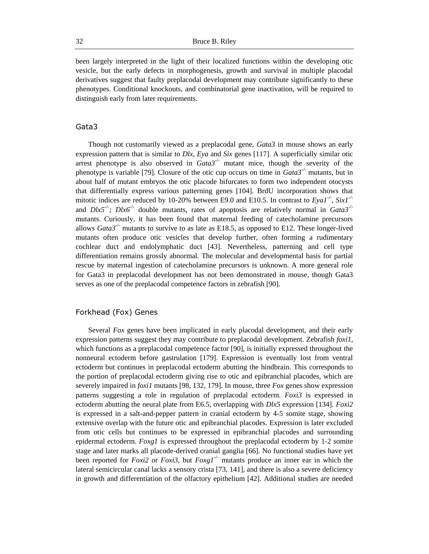been largely interpreted in the light of their localized functions within the developing otic vesicle, but the early defects in morphogenesis, growth and survival in multiple placodal derivatives suggest that faulty preplacodal development may contribute significantly to these phenotypes. Conditional knockouts, and combinatorial gene inactivation, will be required to distinguish early from later requirements.

# Gata3

Though not customarily viewed as a preplacodal gene, *Gata3* in mouse shows an early expression pattern that is similar to *Dlx*, *Eya* and *Six* genes [117]. A superficially similar otic arrest phenotype is also observed in *Gata3-/-* mutant mice, though the severity of the phenotype is variable [79]. Closure of the otic cup occurs on time in *Gata3-/-* mutants, but in about half of mutant embryos the otic placode bifurcates to form two independent otocysts that differentially express various patterning genes [104]. BrdU incorporation shows that mitotic indices are reduced by 10-20% between E9.0 and E10.5. In contrast to *Eya1-/-* , *Six1-/* and  $Dlx5<sup>-/-</sup>$ ;  $Dlx6<sup>-/-</sup>$  double mutants, rates of apoptosis are relatively normal in *Gata3<sup>-/-</sup>* mutants. Curiously, it has been found that maternal feeding of catecholamine precursors allows *Gata3<sup>* $\sim$ *</sup>*- mutants to survive to as late as E18.5, as opposed to E12. These longer-lived mutants often produce otic vesicles that develop further, often forming a rudimentary cochlear duct and endolymphatic duct [43]. Nevertheless, patterning and cell type differentiation remains grossly abnormal. The molecular and developmental basis for partial rescue by maternal ingestion of catecholamine precursors is unknown. A more general role for Gata3 in preplacodal development has not been demonstrated in mouse, though Gata3 serves as one of the preplacodal competence factors in zebrafish [90].

# Forkhead (Fox) Genes

Several *Fox* genes have been implicated in early placodal development, and their early expression patterns suggest they may contribute to preplacodal development. Zebrafish *foxi1*, which functions as a preplacodal competence factor [90], is initially expressed throughout the nonneural ectoderm before gastrulation [179]. Expression is eventually lost from ventral ectoderm but continues in preplacodal ectoderm abutting the hindbrain. This corresponds to the portion of preplacodal ectoderm giving rise to otic and epibranchial placodes, which are severely impaired in *foxi1* mutants [98, 132, 179]. In mouse, three *Fox* genes show expression patterns suggesting a role in regulation of preplacodal ectoderm. *Foxi3* is expressed in ectoderm abutting the neural plate from E6.5, overlapping with *Dlx5* expression [134]. *Foxi2* is expressed in a salt-and-pepper pattern in cranial ectoderm by 4-5 somite stage, showing extensive overlap with the future otic and epibranchial placodes. Expression is later excluded from otic cells but continues to be expressed in epibranchial placodes and surrounding epidermal ectoderm. *Foxg1* is expressed throughout the preplacodal ectoderm by 1-2 somite stage and later marks all placode-derived cranial ganglia [66]. No functional studies have yet been reported for *Foxi2* or *Foxi3*, but *Foxg1-/-* mutants produce an inner ear in which the lateral semicircular canal lacks a sensory crista [73, 141], and there is also a severe deficiency in growth and differentiation of the olfactory epithelium [42]. Additional studies are needed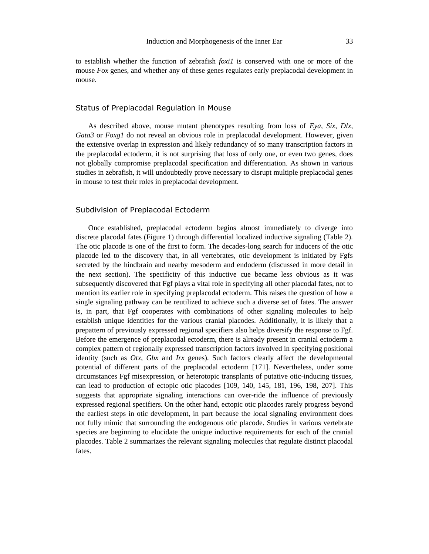to establish whether the function of zebrafish *foxi1* is conserved with one or more of the mouse *Fox* genes, and whether any of these genes regulates early preplacodal development in mouse.

#### Status of Preplacodal Regulation in Mouse

As described above, mouse mutant phenotypes resulting from loss of *Eya*, *Six*, *Dlx*, *Gata3* or *Foxg1* do not reveal an obvious role in preplacodal development. However, given the extensive overlap in expression and likely redundancy of so many transcription factors in the preplacodal ectoderm, it is not surprising that loss of only one, or even two genes, does not globally compromise preplacodal specification and differentiation. As shown in various studies in zebrafish, it will undoubtedly prove necessary to disrupt multiple preplacodal genes in mouse to test their roles in preplacodal development.

# Subdivision of Preplacodal Ectoderm

Once established, preplacodal ectoderm begins almost immediately to diverge into discrete placodal fates (Figure 1) through differential localized inductive signaling (Table 2). The otic placode is one of the first to form. The decades-long search for inducers of the otic placode led to the discovery that, in all vertebrates, otic development is initiated by Fgfs secreted by the hindbrain and nearby mesoderm and endoderm (discussed in more detail in the next section). The specificity of this inductive cue became less obvious as it was subsequently discovered that Fgf plays a vital role in specifying all other placodal fates, not to mention its earlier role in specifying preplacodal ectoderm. This raises the question of how a single signaling pathway can be reutilized to achieve such a diverse set of fates. The answer is, in part, that Fgf cooperates with combinations of other signaling molecules to help establish unique identities for the various cranial placodes. Additionally, it is likely that a prepattern of previously expressed regional specifiers also helps diversify the response to Fgf. Before the emergence of preplacodal ectoderm, there is already present in cranial ectoderm a complex pattern of regionally expressed transcription factors involved in specifying positional identity (such as *Otx*, *Gbx* and *Irx* genes). Such factors clearly affect the developmental potential of different parts of the preplacodal ectoderm [171]. Nevertheless, under some circumstances Fgf misexpression, or heterotopic transplants of putative otic-inducing tissues, can lead to production of ectopic otic placodes [109, 140, 145, 181, 196, 198, 207]. This suggests that appropriate signaling interactions can over-ride the influence of previously expressed regional specifiers. On the other hand, ectopic otic placodes rarely progress beyond the earliest steps in otic development, in part because the local signaling environment does not fully mimic that surrounding the endogenous otic placode. Studies in various vertebrate species are beginning to elucidate the unique inductive requirements for each of the cranial placodes. Table 2 summarizes the relevant signaling molecules that regulate distinct placodal fates.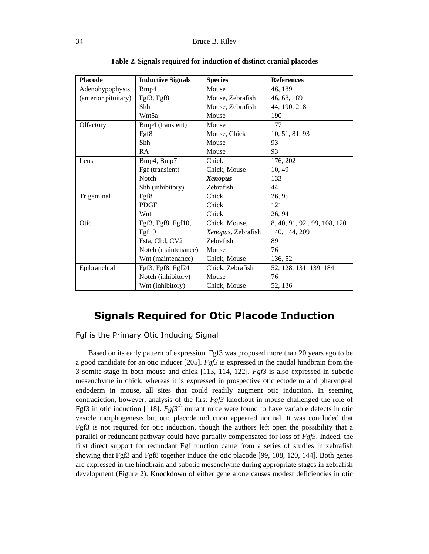| <b>Placode</b>       | <b>Inductive Signals</b> | <b>Species</b>     | <b>References</b>            |
|----------------------|--------------------------|--------------------|------------------------------|
| Adenohypophysis      | Bmp4                     | Mouse              | 46, 189                      |
| (anterior pituitary) | Fgf3, Fgf8               | Mouse, Zebrafish   | 46, 68, 189                  |
|                      | Shh                      | Mouse, Zebrafish   | 44, 190, 218                 |
|                      | Wnt5a                    | Mouse              | 190                          |
| Olfactory            | Bmp4 (transient)         | Mouse              | 177                          |
|                      | Fgf8                     | Mouse, Chick       | 10, 51, 81, 93               |
|                      | Shh                      | Mouse              | 93                           |
|                      | RA                       | Mouse              | 93                           |
| Lens                 | Bmp4, Bmp7               | Chick              | 176, 202                     |
|                      | Fgf (transient)          | Chick, Mouse       | 10, 49                       |
|                      | <b>Notch</b>             | <b>Xenopus</b>     | 133                          |
|                      | Shh (inhibitory)         | Zebrafish          | 44                           |
| Trigeminal           | Fgf8                     | Chick              | 26, 95                       |
|                      | <b>PDGF</b>              | Chick              | 121                          |
|                      | Wnt1                     | Chick              | 26, 94                       |
| Otic                 | Fgf3, Fgf8, Fgf10,       | Chick, Mouse,      | 8, 40, 91, 92., 99, 108, 120 |
|                      | Fgf19                    | Xenopus, Zebrafish | 140, 144, 209                |
|                      | Fsta, Chd, CV2           | Zebrafish          | 89                           |
|                      | Notch (maintenance)      | Mouse              | 76                           |
|                      | Wnt (maintenance)        | Chick, Mouse       | 136, 52                      |
| Epibranchial         | Fgf3, Fgf8, Fgf24        | Chick, Zebrafish   | 52, 128, 131, 139, 184       |
|                      | Notch (inhibitory)       | Mouse              | 76                           |
|                      | Wnt (inhibitory)         | Chick, Mouse       | 52, 136                      |

**Table 2. Signals required for induction of distinct cranial placodes**

# **Signals Required for Otic Placode Induction**

Fgf is the Primary Otic Inducing Signal

Based on its early pattern of expression, Fgf3 was proposed more than 20 years ago to be a good candidate for an otic inducer [205]. *Fgf3* is expressed in the caudal hindbrain from the 3 somite-stage in both mouse and chick [113, 114, 122]. *Fgf3* is also expressed in subotic mesenchyme in chick, whereas it is expressed in prospective otic ectoderm and pharyngeal endoderm in mouse, all sites that could readily augment otic induction. In seeming contradiction, however, analysis of the first *Fgf3* knockout in mouse challenged the role of Fgf3 in otic induction [118].  $Fgf3^{-/-}$  mutant mice were found to have variable defects in otic vesicle morphogenesis but otic placode induction appeared normal. It was concluded that Fgf3 is not required for otic induction, though the authors left open the possibility that a parallel or redundant pathway could have partially compensated for loss of *Fgf3*. Indeed, the first direct support for redundant Fgf function came from a series of studies in zebrafish showing that Fgf3 and Fgf8 together induce the otic placode [99, 108, 120, 144]. Both genes are expressed in the hindbrain and subotic mesenchyme during appropriate stages in zebrafish development (Figure 2). Knockdown of either gene alone causes modest deficiencies in otic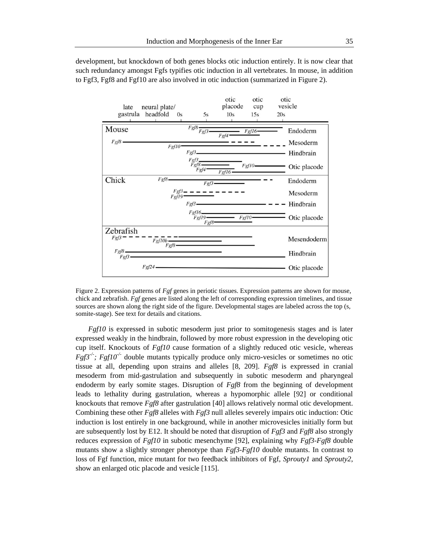

development, but knockdown of both genes blocks otic induction entirely. It is now clear that such redundancy amongst Fgfs typifies otic induction in all vertebrates. In mouse, in addition to Fgf3, Fgf8 and Fgf10 are also involved in otic induction (summarized in Figure 2).

Figure 2. Expression patterns of *Fgf* genes in periotic tissues. Expression patterns are shown for mouse, chick and zebrafish. *Fgf* genes are listed along the left of corresponding expression timelines, and tissue sources are shown along the right side of the figure. Developmental stages are labeled across the top (s, somite-stage). See text for details and citations.

*Fgf10* is expressed in subotic mesoderm just prior to somitogenesis stages and is later expressed weakly in the hindbrain, followed by more robust expression in the developing otic cup itself. Knockouts of *Fgf10* cause formation of a slightly reduced otic vesicle, whereas  $Fg f 3^{-/2}$ ;  $Fg f 10^{-/2}$  double mutants typically produce only micro-vesicles or sometimes no otic tissue at all, depending upon strains and alleles [8, 209]. *Fgf8* is expressed in cranial mesoderm from mid-gastrulation and subsequently in subotic mesoderm and pharyngeal endoderm by early somite stages. Disruption of *Fgf8* from the beginning of development leads to lethality during gastrulation, whereas a hypomorphic allele [92] or conditional knockouts that remove *Fgf8* after gastrulation [40] allows relatively normal otic development. Combining these other *Fgf8* alleles with *Fgf3* null alleles severely impairs otic induction: Otic induction is lost entirely in one background, while in another microvesicles initially form but are subsequently lost by E12. It should be noted that disruption of *Fgf3* and *Fgf8* also strongly reduces expression of *Fgf10* in subotic mesenchyme [92], explaining why *Fgf3-Fgf8* double mutants show a slightly stronger phenotype than *Fgf3-Fgf10* double mutants. In contrast to loss of Fgf function, mice mutant for two feedback inhibitors of Fgf, *Sprouty1* and *Sprouty2*, show an enlarged otic placode and vesicle [115].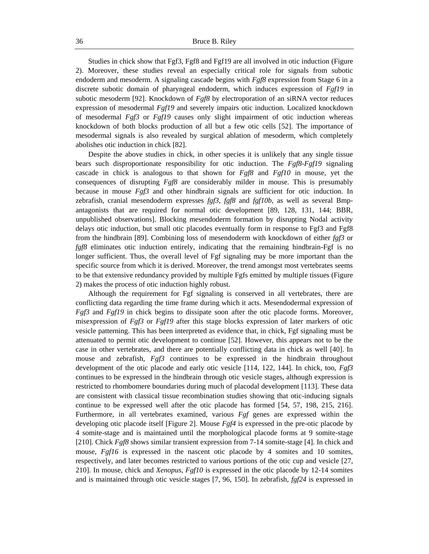Studies in chick show that Fgf3, Fgf8 and Fgf19 are all involved in otic induction (Figure 2). Moreover, these studies reveal an especially critical role for signals from subotic endoderm and mesoderm. A signaling cascade begins with *Fgf8* expression from Stage 6 in a discrete subotic domain of pharyngeal endoderm, which induces expression of *Fgf19* in subotic mesoderm [92]. Knockdown of *Fgf8* by electroporation of an siRNA vector reduces expression of mesodermal *Fgf19* and severely impairs otic induction. Localized knockdown of mesodermal *Fgf3* or *Fgf19* causes only slight impairment of otic induction whereas knockdown of both blocks production of all but a few otic cells [52]. The importance of mesodermal signals is also revealed by surgical ablation of mesoderm, which completely abolishes otic induction in chick [82].

Despite the above studies in chick, in other species it is unlikely that any single tissue bears such disproportionate responsibility for otic induction. The *Fgf8-Fgf19* signaling cascade in chick is analogous to that shown for *Fgf8* and *Fgf10* in mouse, yet the consequences of disrupting *Fgf8* are considerably milder in mouse. This is presumably because in mouse *Fgf3* and other hindbrain signals are sufficient for otic induction. In zebrafish, cranial mesendoderm expresses *fgf3, fgf8* and *fgf10b*, as well as several Bmpantagonists that are required for normal otic development [89, 128, 131, 144; BBR, unpublished observations]. Blocking mesendoderm formation by disrupting Nodal activity delays otic induction, but small otic placodes eventually form in response to Fgf3 and Fgf8 from the hindbrain [89]. Combining loss of mesendoderm with knockdown of either *fgf3* or *fgf8* eliminates otic induction entirely, indicating that the remaining hindbrain-Fgf is no longer sufficient. Thus, the overall level of Fgf signaling may be more important than the specific source from which it is derived. Moreover, the trend amongst most vertebrates seems to be that extensive redundancy provided by multiple Fgfs emitted by multiple tissues (Figure 2) makes the process of otic induction highly robust.

Although the requirement for Fgf signaling is conserved in all vertebrates, there are conflicting data regarding the time frame during which it acts. Mesendodermal expression of *Fgf3* and *Fgf19* in chick begins to dissipate soon after the otic placode forms. Moreover, misexpression of *Fgf3* or *Fgf19* after this stage blocks expression of later markers of otic vesicle patterning. This has been interpreted as evidence that, in chick, Fgf signaling must be attenuated to permit otic development to continue [52]. However, this appears not to be the case in other vertebrates, and there are potentially conflicting data in chick as well [40]. In mouse and zebrafish, *Fgf3* continues to be expressed in the hindbrain throughout development of the otic placode and early otic vesicle [114, 122, 144]. In chick, too, *Fgf3* continues to be expressed in the hindbrain through otic vesicle stages, although expression is restricted to rhombomere boundaries during much of placodal development [113]. These data are consistent with classical tissue recombination studies showing that otic-inducing signals continue to be expressed well after the otic placode has formed [54, 57, 198, 215, 216]. Furthermore, in all vertebrates examined, various *Fgf* genes are expressed within the developing otic placode itself [Figure 2]. Mouse *Fgf4* is expressed in the pre-otic placode by 4 somite-stage and is maintained until the morphological placode forms at 9 somite-stage [210]. Chick *Fgf8* shows similar transient expression from 7-14 somite-stage [4]. In chick and mouse, *Fgf16* is expressed in the nascent otic placode by 4 somites and 10 somites, respectively, and later becomes restricted to various portions of the otic cup and vesicle [27, 210]. In mouse, chick and *Xenopus*, *Fgf10* is expressed in the otic placode by 12-14 somites and is maintained through otic vesicle stages [7, 96, 150]. In zebrafish, *fgf24* is expressed in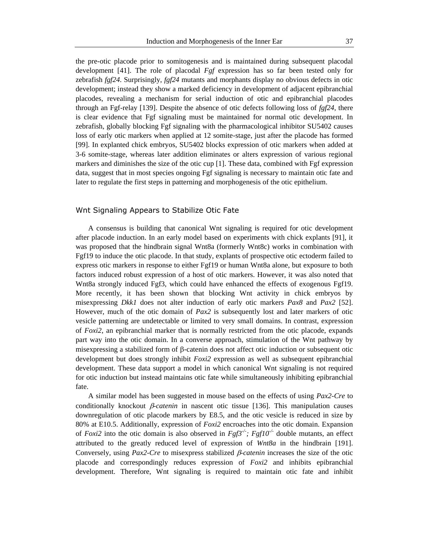the pre-otic placode prior to somitogenesis and is maintained during subsequent placodal development [41]. The role of placodal *Fgf* expression has so far been tested only for zebrafish *fgf24*. Surprisingly, *fgf24* mutants and morphants display no obvious defects in otic development; instead they show a marked deficiency in development of adjacent epibranchial placodes, revealing a mechanism for serial induction of otic and epibranchial placodes through an Fgf-relay [139]. Despite the absence of otic defects following loss of *fgf24*, there is clear evidence that Fgf signaling must be maintained for normal otic development. In zebrafish, globally blocking Fgf signaling with the pharmacological inhibitor SU5402 causes loss of early otic markers when applied at 12 somite-stage, just after the placode has formed [99]. In explanted chick embryos, SU5402 blocks expression of otic markers when added at 3-6 somite-stage, whereas later addition eliminates or alters expression of various regional markers and diminishes the size of the otic cup [1]. These data, combined with Fgf expression data, suggest that in most species ongoing Fgf signaling is necessary to maintain otic fate and later to regulate the first steps in patterning and morphogenesis of the otic epithelium.

### Wnt Signaling Appears to Stabilize Otic Fate

A consensus is building that canonical Wnt signaling is required for otic development after placode induction. In an early model based on experiments with chick explants [91], it was proposed that the hindbrain signal Wnt8a (formerly Wnt8c) works in combination with Fgf19 to induce the otic placode. In that study, explants of prospective otic ectoderm failed to express otic markers in response to either Fgf19 or human Wnt8a alone, but exposure to both factors induced robust expression of a host of otic markers. However, it was also noted that Wnt8a strongly induced Fgf3, which could have enhanced the effects of exogenous Fgf19. More recently, it has been shown that blocking Wnt activity in chick embryos by misexpressing *Dkk1* does not alter induction of early otic markers *Pax8* and *Pax2* [52]. However, much of the otic domain of *Pax2* is subsequently lost and later markers of otic vesicle patterning are undetectable or limited to very small domains. In contrast, expression of *Foxi2*, an epibranchial marker that is normally restricted from the otic placode, expands part way into the otic domain. In a converse approach, stimulation of the Wnt pathway by misexpressing a stabilized form of  $\beta$ -catenin does not affect otic induction or subsequent otic development but does strongly inhibit *Foxi2* expression as well as subsequent epibranchial development. These data support a model in which canonical Wnt signaling is not required for otic induction but instead maintains otic fate while simultaneously inhibiting epibranchial fate.

A similar model has been suggested in mouse based on the effects of using *Pax2-Cre* to conditionally knockout  $\beta$ -*catenin* in nascent otic tissue [136]. This manipulation causes downregulation of otic placode markers by E8.5, and the otic vesicle is reduced in size by 80% at E10.5. Additionally, expression of *Foxi2* encroaches into the otic domain. Expansion of *Foxi2* into the otic domain is also observed in  $Fg f 3^{-/2}$ ;  $Fg f 10^{-/2}$  double mutants, an effect attributed to the greatly reduced level of expression of *Wnt8a* in the hindbrain [191]. Conversely, using  $Pax2-Cre$  to misexpress stabilized  $\beta$ -catenin increases the size of the otic placode and correspondingly reduces expression of *Foxi2* and inhibits epibranchial development. Therefore, Wnt signaling is required to maintain otic fate and inhibit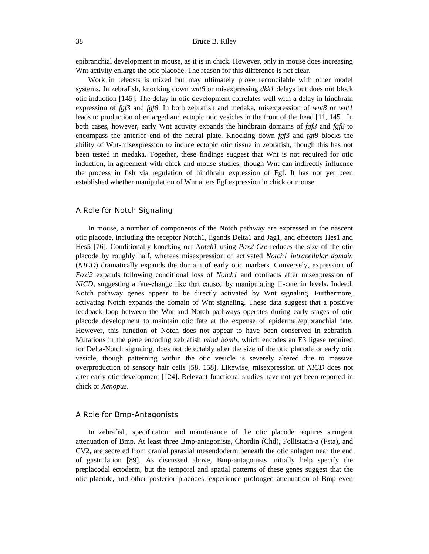epibranchial development in mouse, as it is in chick. However, only in mouse does increasing Wnt activity enlarge the otic placode. The reason for this difference is not clear.

Work in teleosts is mixed but may ultimately prove reconcilable with other model systems. In zebrafish, knocking down *wnt8* or misexpressing *dkk1* delays but does not block otic induction [145]. The delay in otic development correlates well with a delay in hindbrain expression of *fgf3* and *fgf8*. In both zebrafish and medaka, misexpression of *wnt8* or *wnt1* leads to production of enlarged and ectopic otic vesicles in the front of the head [11, 145]. In both cases, however, early Wnt activity expands the hindbrain domains of *fgf3* and *fgf8* to encompass the anterior end of the neural plate. Knocking down *fgf3* and *fgf8* blocks the ability of Wnt-misexpression to induce ectopic otic tissue in zebrafish, though this has not been tested in medaka. Together, these findings suggest that Wnt is not required for otic induction, in agreement with chick and mouse studies, though Wnt can indirectly influence the process in fish via regulation of hindbrain expression of Fgf. It has not yet been established whether manipulation of Wnt alters Fgf expression in chick or mouse.

#### A Role for Notch Signaling

In mouse, a number of components of the Notch pathway are expressed in the nascent otic placode, including the receptor Notch1, ligands Delta1 and Jag1, and effectors Hes1 and Hes5 [76]. Conditionally knocking out *Notch1* using *Pax2-Cre* reduces the size of the otic placode by roughly half, whereas misexpression of activated *Notch1 intracellular domain* (*NICD*) dramatically expands the domain of early otic markers. Conversely, expression of *Foxi2* expands following conditional loss of *Notch1* and contracts after misexpression of *NICD*, suggesting a fate-change like that caused by manipulating  $\Box$ -catenin levels. Indeed, Notch pathway genes appear to be directly activated by Wnt signaling. Furthermore, activating Notch expands the domain of Wnt signaling. These data suggest that a positive feedback loop between the Wnt and Notch pathways operates during early stages of otic placode development to maintain otic fate at the expense of epidermal/epibranchial fate. However, this function of Notch does not appear to have been conserved in zebrafish. Mutations in the gene encoding zebrafish *mind bomb*, which encodes an E3 ligase required for Delta-Notch signaling, does not detectably alter the size of the otic placode or early otic vesicle, though patterning within the otic vesicle is severely altered due to massive overproduction of sensory hair cells [58, 158]. Likewise, misexpression of *NICD* does not alter early otic development [124]. Relevant functional studies have not yet been reported in chick or *Xenopus*.

#### A Role for Bmp-Antagonists

In zebrafish, specification and maintenance of the otic placode requires stringent attenuation of Bmp. At least three Bmp-antagonists, Chordin (Chd), Follistatin-a (Fsta), and CV2, are secreted from cranial paraxial mesendoderm beneath the otic anlagen near the end of gastrulation [89]. As discussed above, Bmp-antagonists initially help specify the preplacodal ectoderm, but the temporal and spatial patterns of these genes suggest that the otic placode, and other posterior placodes, experience prolonged attenuation of Bmp even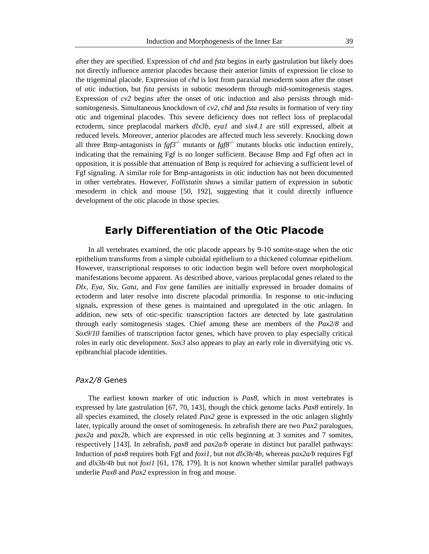after they are specified. Expression of *chd* and *fsta* begins in early gastrulation but likely does not directly influence anterior placodes because their anterior limits of expression lie close to the trigeminal placode. Expression of *chd* is lost from paraxial mesoderm soon after the onset of otic induction, but *fsta* persists in subotic mesoderm through mid-somitogenesis stages. Expression of  $cv2$  begins after the onset of otic induction and also persists through midsomitogenesis. Simultaneous knockdown of *cv2*, *chd* and *fsta* results in formation of very tiny otic and trigeminal placodes. This severe deficiency does not reflect loss of preplacodal ectoderm, since preplacodal markers *dlx3b*, *eya1* and *six4.1* are still expressed, albeit at reduced levels. Moreover, anterior placodes are affected much less severely. Knocking down all three Bmp-antagonists in  $f g f 3^{-/2}$  mutants or  $f g f 8^{-/2}$  mutants blocks otic induction entirely, indicating that the remaining Fgf is no longer sufficient. Because Bmp and Fgf often act in opposition, it is possible that attenuation of Bmp is required for achieving a sufficient level of Fgf signaling. A similar role for Bmp-antagonists in otic induction has not been documented in other vertebrates. However, *Follistatin* shows a similar pattern of expression in subotic mesoderm in chick and mouse [50, 192], suggesting that it could directly influence development of the otic placode in those species.

# **Early Differentiation of the Otic Placode**

In all vertebrates examined, the otic placode appears by 9-10 somite-stage when the otic epithelium transforms from a simple cuboidal epithelium to a thickened columnar epithelium. However, transcriptional responses to otic induction begin well before overt morphological manifestations become apparent. As described above, various preplacodal genes related to the *Dlx*, *Eya*, *Six, Gata*, and *Fox* gene families are initially expressed in broader domains of ectoderm and later resolve into discrete placodal primordia. In response to otic-inducing signals, expression of these genes is maintained and upregulated in the otic anlagen. In addition, new sets of otic-specific transcription factors are detected by late gastrulation through early somitogenesis stages. Chief among these are members of the *Pax2/8* and *Sox9/10* families of transcription factor genes, which have proven to play especially critical roles in early otic development. *Sox3* also appears to play an early role in diversifying otic vs. epibranchial placode identities.

# *Pax2/8* Genes

The earliest known marker of otic induction is *Pax8*, which in most vertebrates is expressed by late gastrulation [67, 70, 143], though the chick genome lacks *Pax8* entirely. In all species examined, the closely related *Pax2* gene is expressed in the otic anlagen slightly later, typically around the onset of somitogenesis. In zebrafish there are two *Pax2* paralogues, *pax2a* and *pax2b*, which are expressed in otic cells beginning at 3 somites and 7 somites, respectively [143]. In zebrafish, *pax8* and *pax2a/b* operate in distinct but parallel pathways: Induction of *pax8* requires both Fgf and *foxi1*, but not *dlx3b/4b*, whereas *pax2a/b* requires Fgf and *dlx3b/4b* but not *foxi1* [61, 178, 179]. It is not known whether similar parallel pathways underlie *Pax8* and *Pax2* expression in frog and mouse.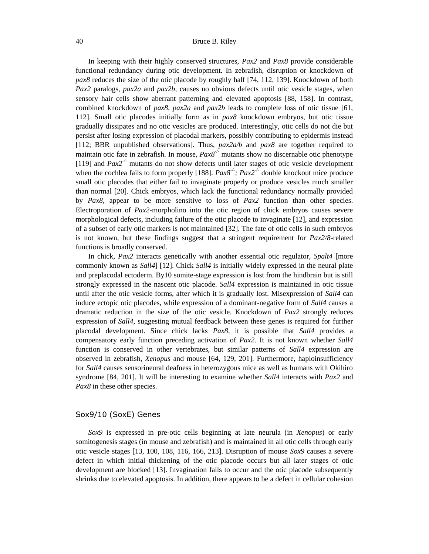In keeping with their highly conserved structures, *Pax2* and *Pax8* provide considerable functional redundancy during otic development. In zebrafish, disruption or knockdown of *pax8* reduces the size of the otic placode by roughly half [74, 112, 139]. Knockdown of both *Pax2* paralogs, *pax2a* and *pax2b*, causes no obvious defects until otic vesicle stages, when sensory hair cells show aberrant patterning and elevated apoptosis [88, 158]. In contrast, combined knockdown of *pax8*, *pax2a* and *pax2b* leads to complete loss of otic tissue [61, 112]. Small otic placodes initially form as in *pax8* knockdown embryos, but otic tissue gradually dissipates and no otic vesicles are produced. Interestingly, otic cells do not die but persist after losing expression of placodal markers, possibly contributing to epidermis instead [112; BBR unpublished observations]. Thus, *pax2a/b* and *pax8* are together required to maintain otic fate in zebrafish. In mouse, *Pax8-/-* mutants show no discernable otic phenotype [119] and  $Pax2^{-/-}$  mutants do not show defects until later stages of otic vesicle development when the cochlea fails to form properly [188].  $Pax8^{-/-}$ ;  $Pax2^{-/-}$  double knockout mice produce small otic placodes that either fail to invaginate properly or produce vesicles much smaller than normal [20]. Chick embryos, which lack the functional redundancy normally provided by *Pax8*, appear to be more sensitive to loss of *Pax2* function than other species. Electroporation of *Pax2*-morpholino into the otic region of chick embryos causes severe morphological defects, including failure of the otic placode to invaginate [12], and expression of a subset of early otic markers is not maintained [32]. The fate of otic cells in such embryos is not known, but these findings suggest that a stringent requirement for *Pax2/8*-related functions is broadly conserved.

In chick, *Pax2* interacts genetically with another essential otic regulator, *Spalt4* [more commonly known as *Sall4*] [12]. Chick *Sall4* is initially widely expressed in the neural plate and preplacodal ectoderm. By10 somite-stage expression is lost from the hindbrain but is still strongly expressed in the nascent otic placode. *Sall4* expression is maintained in otic tissue until after the otic vesicle forms, after which it is gradually lost. Misexpression of *Sall4* can induce ectopic otic placodes, while expression of a dominant-negative form of *Sall4* causes a dramatic reduction in the size of the otic vesicle. Knockdown of *Pax2* strongly reduces expression of *Sall4*, suggesting mutual feedback between these genes is required for further placodal development. Since chick lacks *Pax8*, it is possible that *Sall4* provides a compensatory early function preceding activation of *Pax2*. It is not known whether *Sall4* function is conserved in other vertebrates, but similar patterns of *Sall4* expression are observed in zebrafish, *Xenopus* and mouse [64, 129, 201]. Furthermore, haploinsufficiency for *Sall4* causes sensorineural deafness in heterozygous mice as well as humans with Okihiro syndrome [84, 201]. It will be interesting to examine whether *Sall4* interacts with *Pax2* and *Pax8* in these other species.

#### Sox9/10 (SoxE) Genes

*Sox9* is expressed in pre-otic cells beginning at late neurula (in *Xenopus*) or early somitogenesis stages (in mouse and zebrafish) and is maintained in all otic cells through early otic vesicle stages [13, 100, 108, 116, 166, 213]. Disruption of mouse *Sox9* causes a severe defect in which initial thickening of the otic placode occurs but all later stages of otic development are blocked [13]. Invagination fails to occur and the otic placode subsequently shrinks due to elevated apoptosis. In addition, there appears to be a defect in cellular cohesion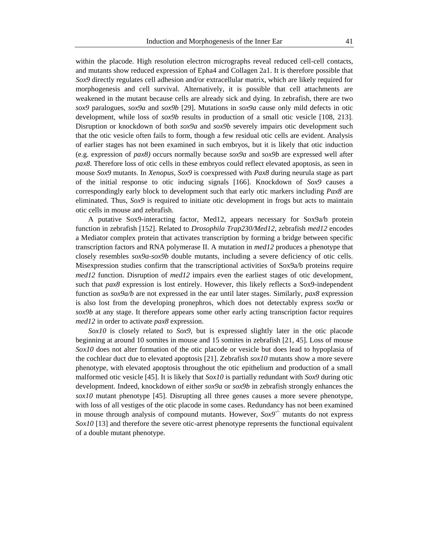within the placode. High resolution electron micrographs reveal reduced cell-cell contacts, and mutants show reduced expression of Epha4 and Collagen 2a1. It is therefore possible that *Sox9* directly regulates cell adhesion and/or extracellular matrix, which are likely required for morphogenesis and cell survival. Alternatively, it is possible that cell attachments are weakened in the mutant because cells are already sick and dying. In zebrafish, there are two *sox9* paralogues, *sox9a* and *sox9b* [29]. Mutations in *sox9a* cause only mild defects in otic development, while loss of *sox9b* results in production of a small otic vesicle [108, 213]. Disruption or knockdown of both *sox9a* and *sox9b* severely impairs otic development such that the otic vesicle often fails to form, though a few residual otic cells are evident. Analysis of earlier stages has not been examined in such embryos, but it is likely that otic induction (e.g. expression of *pax8)* occurs normally because *sox9a* and *sox9b* are expressed well after *pax8*. Therefore loss of otic cells in these embryos could reflect elevated apoptosis, as seen in mouse *Sox9* mutants. In *Xenopus*, *Sox9* is coexpressed with *Pax8* during neurula stage as part of the initial response to otic inducing signals [166]. Knockdown of *Sox9* causes a correspondingly early block to development such that early otic markers including *Pax8* are eliminated. Thus, *Sox9* is required to initiate otic development in frogs but acts to maintain otic cells in mouse and zebrafish.

A putative Sox9-interacting factor, Med12, appears necessary for Sox9a/b protein function in zebrafish [152]. Related to *Drosophila Trap230/Med12*, zebrafish *med12* encodes a Mediator complex protein that activates transcription by forming a bridge between specific transcription factors and RNA polymerase II. A mutation in *med12* produces a phenotype that closely resembles *sox9a-sox9b* double mutants, including a severe deficiency of otic cells. Misexpression studies confirm that the transcriptional activities of Sox9a/b proteins require *med12* function. Disruption of *med12* impairs even the earliest stages of otic development, such that *pax8* expression is lost entirely. However, this likely reflects a Sox9-independent function as *sox9a/b* are not expressed in the ear until later stages. Similarly, *pax8* expression is also lost from the developing pronephros, which does not detectably express *sox9a* or *sox9b* at any stage. It therefore appears some other early acting transcription factor requires *med12* in order to activate *pax8* expression.

*Sox10* is closely related to *Sox9*, but is expressed slightly later in the otic placode beginning at around 10 somites in mouse and 15 somites in zebrafish [21, 45]. Loss of mouse *Sox10* does not alter formation of the otic placode or vesicle but does lead to hypoplasia of the cochlear duct due to elevated apoptosis [21]. Zebrafish *sox10* mutants show a more severe phenotype, with elevated apoptosis throughout the otic epithelium and production of a small malformed otic vesicle [45]. It is likely that *Sox10* is partially redundant with *Sox9* during otic development. Indeed, knockdown of either *sox9a* or *sox9b* in zebrafish strongly enhances the *sox10* mutant phenotype [45]. Disrupting all three genes causes a more severe phenotype, with loss of all vestiges of the otic placode in some cases. Redundancy has not been examined in mouse through analysis of compound mutants. However,  $S \alpha x^{g^{-}}$  mutants do not express *Sox10* [13] and therefore the severe otic-arrest phenotype represents the functional equivalent of a double mutant phenotype.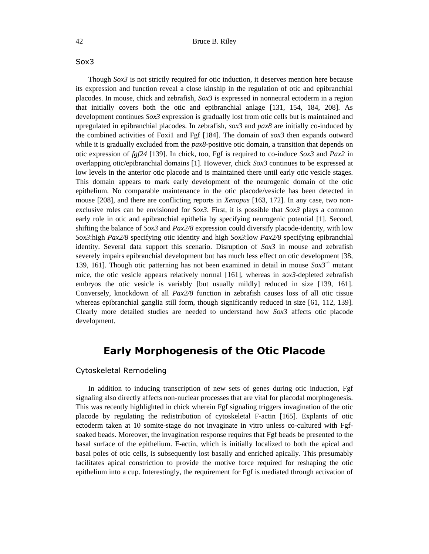# Sox3

Though *Sox3* is not strictly required for otic induction, it deserves mention here because its expression and function reveal a close kinship in the regulation of otic and epibranchial placodes. In mouse, chick and zebrafish, *Sox3* is expressed in nonneural ectoderm in a region that initially covers both the otic and epibranchial anlage [131, 154, 184, 208]. As development continues *Sox3* expression is gradually lost from otic cells but is maintained and upregulated in epibranchial placodes. In zebrafish, *sox3* and *pax8* are initially co-induced by the combined activities of Foxi1 and Fgf [184]. The domain of *sox3* then expands outward while it is gradually excluded from the *pax8*-positive otic domain, a transition that depends on otic expression of *fgf24* [139]. In chick, too, Fgf is required to co-induce *Sox3* and *Pax2* in overlapping otic/epibranchial domains [1]. However, chick *Sox3* continues to be expressed at low levels in the anterior otic placode and is maintained there until early otic vesicle stages. This domain appears to mark early development of the neurogenic domain of the otic epithelium. No comparable maintenance in the otic placode/vesicle has been detected in mouse [208], and there are conflicting reports in *Xenopus* [163, 172]. In any case, two nonexclusive roles can be envisioned for *Sox3*. First, it is possible that *Sox3* plays a common early role in otic and epibranchial epithelia by specifying neurogenic potential [1]. Second, shifting the balance of *Sox3* and *Pax2/8* expression could diversify placode-identity, with low *Sox3*:high *Pax2/8* specifying otic identity and high *Sox3*:low *Pax2/8* specifying epibranchial identity. Several data support this scenario. Disruption of *Sox3* in mouse and zebrafish severely impairs epibranchial development but has much less effect on otic development [38, 139, 161]. Though otic patterning has not been examined in detail in mouse *Sox3-/-* mutant mice, the otic vesicle appears relatively normal [161], whereas in *sox3*-depleted zebrafish embryos the otic vesicle is variably [but usually mildly] reduced in size [139, 161]. Conversely, knockdown of all *Pax2/8* function in zebrafish causes loss of all otic tissue whereas epibranchial ganglia still form, though significantly reduced in size [61, 112, 139]. Clearly more detailed studies are needed to understand how *Sox3* affects otic placode development.

# **Early Morphogenesis of the Otic Placode**

# Cytoskeletal Remodeling

In addition to inducing transcription of new sets of genes during otic induction, Fgf signaling also directly affects non-nuclear processes that are vital for placodal morphogenesis. This was recently highlighted in chick wherein Fgf signaling triggers invagination of the otic placode by regulating the redistribution of cytoskeletal F-actin [165]. Explants of otic ectoderm taken at 10 somite-stage do not invaginate in vitro unless co-cultured with Fgfsoaked beads. Moreover, the invagination response requires that Fgf beads be presented to the basal surface of the epithelium. F-actin, which is initially localized to both the apical and basal poles of otic cells, is subsequently lost basally and enriched apically. This presumably facilitates apical constriction to provide the motive force required for reshaping the otic epithelium into a cup. Interestingly, the requirement for Fgf is mediated through activation of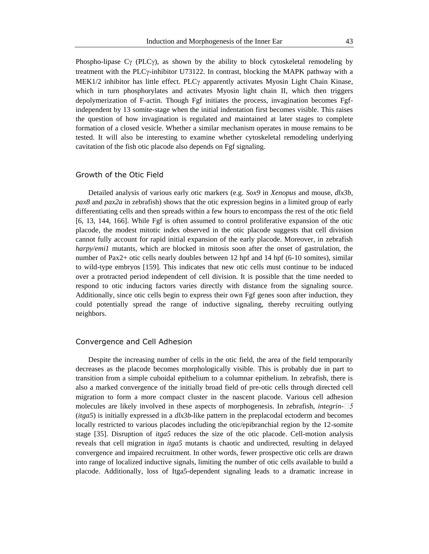Phospho-lipase C $\gamma$  (PLC $\gamma$ ), as shown by the ability to block cytoskeletal remodeling by treatment with the PLCy-inhibitor U73122. In contrast, blocking the MAPK pathway with a MEK1/2 inhibitor has little effect. PLC $\gamma$  apparently activates Myosin Light Chain Kinase, which in turn phosphorylates and activates Myosin light chain II, which then triggers depolymerization of F-actin. Though Fgf initiates the process, invagination becomes Fgfindependent by 13 somite-stage when the initial indentation first becomes visible. This raises the question of how invagination is regulated and maintained at later stages to complete formation of a closed vesicle. Whether a similar mechanism operates in mouse remains to be tested. It will also be interesting to examine whether cytoskeletal remodeling underlying cavitation of the fish otic placode also depends on Fgf signaling.

#### Growth of the Otic Field

Detailed analysis of various early otic markers (e.g. *Sox9* in *Xenopus* and mouse, *dlx3b*, *pax8* and *pax2a* in zebrafish) shows that the otic expression begins in a limited group of early differentiating cells and then spreads within a few hours to encompass the rest of the otic field [6, 13, 144, 166]. While Fgf is often assumed to control proliferative expansion of the otic placode, the modest mitotic index observed in the otic placode suggests that cell division cannot fully account for rapid initial expansion of the early placode. Moreover, in zebrafish *harpy/emi1* mutants, which are blocked in mitosis soon after the onset of gastrulation, the number of Pax2+ otic cells nearly doubles between 12 hpf and 14 hpf (6-10 somites), similar to wild-type embryos [159]. This indicates that new otic cells must continue to be induced over a protracted period independent of cell division. It is possible that the time needed to respond to otic inducing factors varies directly with distance from the signaling source. Additionally, since otic cells begin to express their own Fgf genes soon after induction, they could potentially spread the range of inductive signaling, thereby recruiting outlying neighbors.

### Convergence and Cell Adhesion

Despite the increasing number of cells in the otic field, the area of the field temporarily decreases as the placode becomes morphologically visible. This is probably due in part to transition from a simple cuboidal epithelium to a columnar epithelium. In zebrafish, there is also a marked convergence of the initially broad field of pre-otic cells through directed cell migration to form a more compact cluster in the nascent placode. Various cell adhesion molecules are likely involved in these aspects of morphogenesis. In zebrafish, *integrin-* (*itga5*) is initially expressed in a *dlx3b*-like pattern in the preplacodal ectoderm and becomes locally restricted to various placodes including the otic/epibranchial region by the 12-somite stage [35]. Disruption of *itga5* reduces the size of the otic placode. Cell-motion analysis reveals that cell migration in *itga5* mutants is chaotic and undirected, resulting in delayed convergence and impaired recruitment. In other words, fewer prospective otic cells are drawn into range of localized inductive signals, limiting the number of otic cells available to build a placode. Additionally, loss of Itga5-dependent signaling leads to a dramatic increase in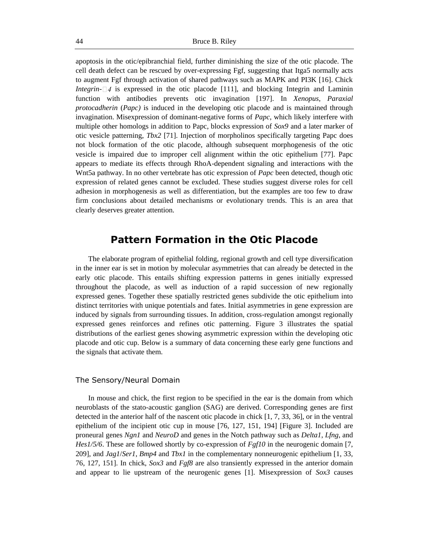apoptosis in the otic/epibranchial field, further diminishing the size of the otic placode. The cell death defect can be rescued by over-expressing Fgf, suggesting that Itga5 normally acts to augment Fgf through activation of shared pathways such as MAPK and PI3K [16]. Chick *Integrin*- $\Box$ *4* is expressed in the otic placode [111], and blocking Integrin and Laminin function with antibodies prevents otic invagination [197]. In *Xenopus, Paraxial protocadherin* (*Papc)* is induced in the developing otic placode and is maintained through invagination. Misexpression of dominant-negative forms of *Papc*, which likely interfere with multiple other homologs in addition to Papc, blocks expression of *Sox9* and a later marker of otic vesicle patterning, *Tbx2* [71]. Injection of morpholinos specifically targeting Papc does not block formation of the otic placode, although subsequent morphogenesis of the otic vesicle is impaired due to improper cell alignment within the otic epithelium [77]. Papc appears to mediate its effects through RhoA-dependent signaling and interactions with the Wnt5a pathway. In no other vertebrate has otic expression of *Papc* been detected, though otic expression of related genes cannot be excluded. These studies suggest diverse roles for cell adhesion in morphogenesis as well as differentiation, but the examples are too few to draw firm conclusions about detailed mechanisms or evolutionary trends. This is an area that clearly deserves greater attention.

# **Pattern Formation in the Otic Placode**

The elaborate program of epithelial folding, regional growth and cell type diversification in the inner ear is set in motion by molecular asymmetries that can already be detected in the early otic placode. This entails shifting expression patterns in genes initially expressed throughout the placode, as well as induction of a rapid succession of new regionally expressed genes. Together these spatially restricted genes subdivide the otic epithelium into distinct territories with unique potentials and fates. Initial asymmetries in gene expression are induced by signals from surrounding tissues. In addition, cross-regulation amongst regionally expressed genes reinforces and refines otic patterning. Figure 3 illustrates the spatial distributions of the earliest genes showing asymmetric expression within the developing otic placode and otic cup. Below is a summary of data concerning these early gene functions and the signals that activate them.

### The Sensory/Neural Domain

In mouse and chick, the first region to be specified in the ear is the domain from which neuroblasts of the stato-acoustic ganglion (SAG) are derived. Corresponding genes are first detected in the anterior half of the nascent otic placode in chick [1, 7, 33, 36], or in the ventral epithelium of the incipient otic cup in mouse [76, 127, 151, 194] [Figure 3]. Included are proneural genes *Ngn1* and *NeuroD* and genes in the Notch pathway such as *Delta1*, *Lfng*, and *Hes1/5/6*. These are followed shortly by co-expression of *Fgf10* in the neurogenic domain [7, 209], and *Jag1*/*Ser1*, *Bmp4* and *Tbx1* in the complementary nonneurogenic epithelium [1, 33, 76, 127, 151]. In chick, *Sox3* and *Fgf8* are also transiently expressed in the anterior domain and appear to lie upstream of the neurogenic genes [1]. Misexpression of *Sox3* causes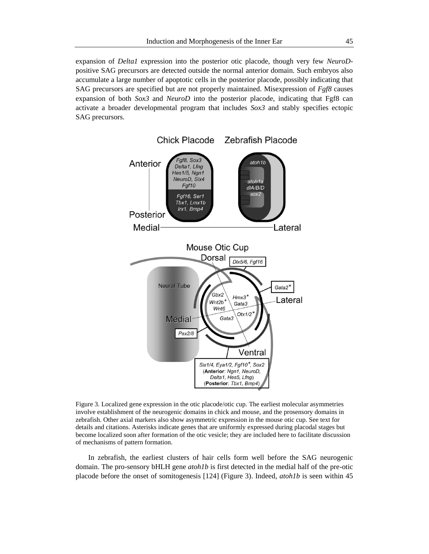expansion of *Delta1* expression into the posterior otic placode, though very few *NeuroD*positive SAG precursors are detected outside the normal anterior domain. Such embryos also accumulate a large number of apoptotic cells in the posterior placode, possibly indicating that SAG precursors are specified but are not properly maintained. Misexpression of *Fgf8* causes expansion of both *Sox3* and *NeuroD* into the posterior placode, indicating that Fgf8 can activate a broader developmental program that includes *Sox3* and stably specifies ectopic SAG precursors.



Figure 3. Localized gene expression in the otic placode/otic cup. The earliest molecular asymmetries involve establishment of the neurogenic domains in chick and mouse, and the prosensory domains in zebrafish. Other axial markers also show asymmetric expression in the mouse otic cup. See text for details and citations. Asterisks indicate genes that are uniformly expressed during placodal stages but become localized soon after formation of the otic vesicle; they are included here to facilitate discussion of mechanisms of pattern formation.

In zebrafish, the earliest clusters of hair cells form well before the SAG neurogenic domain. The pro-sensory bHLH gene *atoh1b* is first detected in the medial half of the pre-otic placode before the onset of somitogenesis [124] (Figure 3). Indeed, *atoh1b* is seen within 45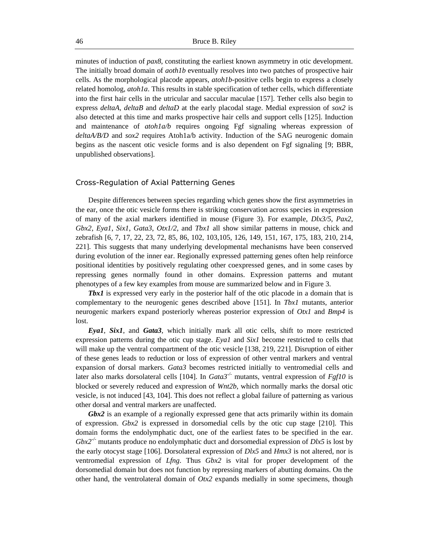minutes of induction of *pax8*, constituting the earliest known asymmetry in otic development. The initially broad domain of *aoth1b* eventually resolves into two patches of prospective hair cells. As the morphological placode appears, *atoh1b*-positive cells begin to express a closely related homolog, *atoh1a*. This results in stable specification of tether cells, which differentiate into the first hair cells in the utricular and saccular maculae [157]. Tether cells also begin to express *deltaA, deltaB* and *deltaD* at the early placodal stage. Medial expression of *sox2* is also detected at this time and marks prospective hair cells and support cells [125]. Induction and maintenance of *atoh1a/b* requires ongoing Fgf signaling whereas expression of *deltaA/B/D* and *sox2* requires Atoh1a/b activity. Induction of the SAG neurogenic domain begins as the nascent otic vesicle forms and is also dependent on Fgf signaling [9; BBR, unpublished observations].

### Cross-Regulation of Axial Patterning Genes

Despite differences between species regarding which genes show the first asymmetries in the ear, once the otic vesicle forms there is striking conservation across species in expression of many of the axial markers identified in mouse (Figure 3). For example, *Dlx3/5*, *Pax2*, *Gbx2*, *Eya1*, *Six1*, *Gata3*, *Otx1/2*, and *Tbx1* all show similar patterns in mouse, chick and zebrafish [6, 7, 17, 22, 23, 72, 85, 86, 102, 103,105, 126, 149, 151, 167, 175, 183, 210, 214, 221]. This suggests that many underlying developmental mechanisms have been conserved during evolution of the inner ear. Regionally expressed patterning genes often help reinforce positional identities by positively regulating other coexpressed genes, and in some cases by repressing genes normally found in other domains. Expression patterns and mutant phenotypes of a few key examples from mouse are summarized below and in Figure 3.

**Tbx1** is expressed very early in the posterior half of the otic placode in a domain that is complementary to the neurogenic genes described above [151]. In *Tbx1* mutants, anterior neurogenic markers expand posteriorly whereas posterior expression of *Otx1* and *Bmp4* is lost.

*Eya1*, *Six1*, and *Gata3*, which initially mark all otic cells, shift to more restricted expression patterns during the otic cup stage. *Eya1* and *Six1* become restricted to cells that will make up the ventral compartment of the otic vesicle [138, 219, 221]. Disruption of either of these genes leads to reduction or loss of expression of other ventral markers and ventral expansion of dorsal markers. *Gata3* becomes restricted initially to ventromedial cells and later also marks dorsolateral cells [104]. In *Gata3<sup>-/-</sup>* mutants, ventral expression of *Fgf10* is blocked or severely reduced and expression of *Wnt2b*, which normally marks the dorsal otic vesicle, is not induced [43, 104]. This does not reflect a global failure of patterning as various other dorsal and ventral markers are unaffected.

*Gbx2* is an example of a regionally expressed gene that acts primarily within its domain of expression. *Gbx2* is expressed in dorsomedial cells by the otic cup stage [210]. This domain forms the endolymphatic duct, one of the earliest fates to be specified in the ear. *Gbx2<sup>-/-</sup>* mutants produce no endolymphatic duct and dorsomedial expression of *Dlx5* is lost by the early otocyst stage [106]. Dorsolateral expression of *Dlx5* and *Hmx3* is not altered, nor is ventromedial expression of *Lfng*. Thus *Gbx2* is vital for proper development of the dorsomedial domain but does not function by repressing markers of abutting domains. On the other hand, the ventrolateral domain of *Otx2* expands medially in some specimens, though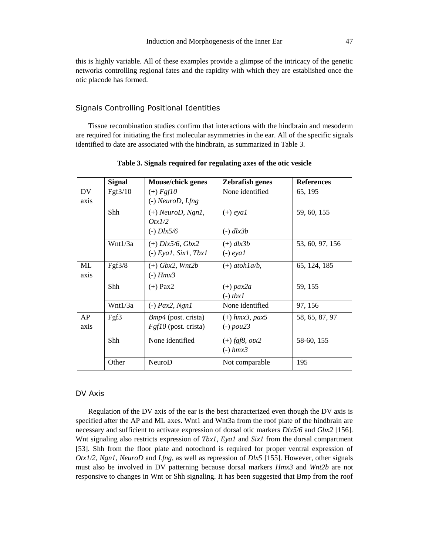this is highly variable. All of these examples provide a glimpse of the intricacy of the genetic networks controlling regional fates and the rapidity with which they are established once the otic placode has formed.

# Signals Controlling Positional Identities

Tissue recombination studies confirm that interactions with the hindbrain and mesoderm are required for initiating the first molecular asymmetries in the ear. All of the specific signals identified to date are associated with the hindbrain, as summarized in Table 3.

|            | <b>Signal</b> | <b>Mouse/chick genes</b>                                    | <b>Zebrafish genes</b>             | <b>References</b> |
|------------|---------------|-------------------------------------------------------------|------------------------------------|-------------------|
| DV<br>axis | Fgf3/10       | $(+) Fgf10$<br>$(-)$ NeuroD, Lfng                           | None identified                    | 65, 195           |
|            | Shh           | $(+)$ NeuroD, Ngn1,<br>QtxI/2<br>$(-)$ <i>Dlx5/6</i>        | $(+)$ eyal<br>$(-)$ dlx3b          | 59, 60, 155       |
|            | Wnt1/3a       | $(+)$ <i>Dlx5/6</i> , <i>Gbx2</i><br>$(-)$ Eyal, Sixl, Tbxl | $(+)$ dlx3b<br>$(-)$ eyal          | 53, 60, 97, 156   |
| ML<br>axis | Fgf3/8        | $(+)$ Gbx2, Wnt2b<br>$(-)$ Hmx $3$                          | $(+)$ atohla/b,                    | 65, 124, 185      |
|            | Shh           | $(+)$ Pax2                                                  | $(+)$ pax2a<br>$(-)$ tbx1          | 59, 155           |
|            | Wnt1/3a       | $(-)$ Pax2, Ngn1                                            | None identified                    | 97, 156           |
| AP<br>axis | Fgf3          | <i>Bmp4</i> (post. crista)<br>$Fgf10$ (post. crista)        | $(+)$ hmx3, pax5<br>$(-)$ pou $23$ | 58, 65, 87, 97    |
|            | Shh           | None identified                                             | $(+)$ fgf8, otx2<br>$(-)$ hmx $3$  | 58-60, 155        |
|            | Other         | NeuroD                                                      | Not comparable                     | 195               |

**Table 3. Signals required for regulating axes of the otic vesicle**

### DV Axis

Regulation of the DV axis of the ear is the best characterized even though the DV axis is specified after the AP and ML axes. Wnt1 and Wnt3a from the roof plate of the hindbrain are necessary and sufficient to activate expression of dorsal otic markers *Dlx5/6* and *Gbx2* [156]. Wnt signaling also restricts expression of *Tbx1*, *Eya1* and *Six1* from the dorsal compartment [53]. Shh from the floor plate and notochord is required for proper ventral expression of *Otx1/2*, *Ngn1*, *NeuroD* and *Lfng*, as well as repression of *Dlx5* [155]. However, other signals must also be involved in DV patterning because dorsal markers *Hmx3* and *Wnt2b* are not responsive to changes in Wnt or Shh signaling. It has been suggested that Bmp from the roof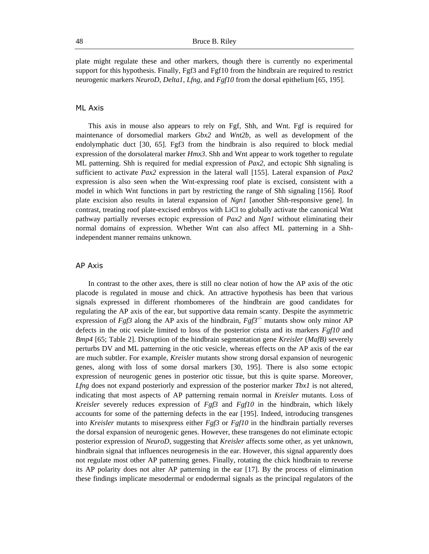plate might regulate these and other markers, though there is currently no experimental support for this hypothesis. Finally, Fgf3 and Fgf10 from the hindbrain are required to restrict neurogenic markers *NeuroD*, *Delta1*, *Lfng*, and *Fgf10* from the dorsal epithelium [65, 195].

# ML Axis

This axis in mouse also appears to rely on Fgf, Shh, and Wnt. Fgf is required for maintenance of dorsomedial markers *Gbx2* and *Wnt2b*, as well as development of the endolymphatic duct [30, 65]. Fgf3 from the hindbrain is also required to block medial expression of the dorsolateral marker *Hmx3*. Shh and Wnt appear to work together to regulate ML patterning. Shh is required for medial expression of *Pax2*, and ectopic Shh signaling is sufficient to activate *Pax2* expression in the lateral wall [155]. Lateral expansion of *Pax2* expression is also seen when the Wnt-expressing roof plate is excised, consistent with a model in which Wnt functions in part by restricting the range of Shh signaling [156]. Roof plate excision also results in lateral expansion of *Ngn1* [another Shh-responsive gene]. In contrast, treating roof plate-excised embryos with LiCl to globally activate the canonical Wnt pathway partially reverses ectopic expression of *Pax2* and *Ngn1* without eliminating their normal domains of expression. Whether Wnt can also affect ML patterning in a Shhindependent manner remains unknown.

# AP Axis

In contrast to the other axes, there is still no clear notion of how the AP axis of the otic placode is regulated in mouse and chick. An attractive hypothesis has been that various signals expressed in different rhombomeres of the hindbrain are good candidates for regulating the AP axis of the ear, but supportive data remain scanty. Despite the asymmetric expression of *Fgf3* along the AP axis of the hindbrain,  $Fg f3^{-/2}$  mutants show only minor AP defects in the otic vesicle limited to loss of the posterior crista and its markers *Fgf10* and *Bmp4* [65; Table 2]. Disruption of the hindbrain segmentation gene *Kreisler* (*MafB)* severely perturbs DV and ML patterning in the otic vesicle, whereas effects on the AP axis of the ear are much subtler. For example, *Kreisler* mutants show strong dorsal expansion of neurogenic genes, along with loss of some dorsal markers [30, 195]. There is also some ectopic expression of neurogenic genes in posterior otic tissue, but this is quite sparse. Moreover, *Lfng* does not expand posteriorly and expression of the posterior marker *Tbx1* is not altered, indicating that most aspects of AP patterning remain normal in *Kreisler* mutants. Loss of *Kreisler* severely reduces expression of *Fgf3* and *Fgf10* in the hindbrain, which likely accounts for some of the patterning defects in the ear [195]. Indeed, introducing transgenes into *Kreisler* mutants to misexpress either *Fgf3* or *Fgf10* in the hindbrain partially reverses the dorsal expansion of neurogenic genes. However, these transgenes do not eliminate ectopic posterior expression of *NeuroD*, suggesting that *Kreisler* affects some other, as yet unknown, hindbrain signal that influences neurogenesis in the ear. However, this signal apparently does not regulate most other AP patterning genes. Finally, rotating the chick hindbrain to reverse its AP polarity does not alter AP patterning in the ear [17]. By the process of elimination these findings implicate mesodermal or endodermal signals as the principal regulators of the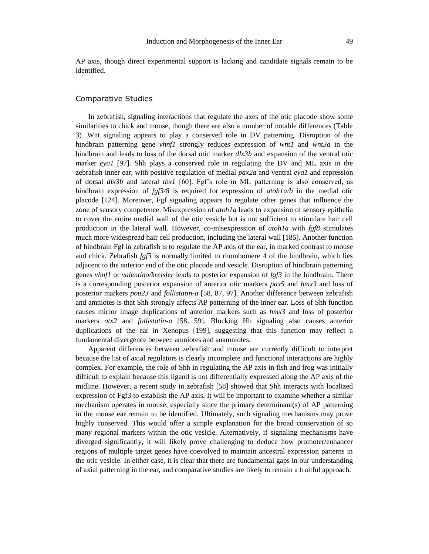AP axis, though direct experimental support is lacking and candidate signals remain to be identified.

### Comparative Studies

In zebrafish, signaling interactions that regulate the axes of the otic placode show some similarities to chick and mouse, though there are also a number of notable differences (Table 3). Wnt signaling appears to play a conserved role in DV patterning. Disruption of the hindbrain patterning gene *vhnf1* strongly reduces expression of *wnt1* and *wnt3a* in the hindbrain and leads to loss of the dorsal otic marker *dlx3b* and expansion of the ventral otic marker *eya1* [97]. Shh plays a conserved role in regulating the DV and ML axis in the zebrafish inner ear, with positive regulation of medial *pax2a* and ventral *eya1* and repression of dorsal *dlx3b* and lateral *tbx1* [60]. Fgf's role in ML patterning is also conserved, as hindbrain expression of *fgf3/8* is required for expression of *atoh1a/b* in the medial otic placode [124]. Moreover, Fgf signaling appears to regulate other genes that influence the zone of sensory competence. Misexpression of *atoh1a* leads to expansion of sensory epithelia to cover the entire medial wall of the otic vesicle but is not sufficient to stimulate hair cell production in the lateral wall. However, co-misexpression of *atoh1a* with *fgf8* stimulates much more widespread hair cell production, including the lateral wall [185]. Another function of hindbrain Fgf in zebrafish is to regulate the AP axis of the ear, in marked contrast to mouse and chick. Zebrafish *fgf3* is normally limited to rhombomere 4 of the hindbrain, which lies adjacent to the anterior end of the otic placode and vesicle. Disruption of hindbrain patterning genes *vhnf1* or *valentino/kreisler* leads to posterior expansion of *fgf3* in the hindbrain. There is a corresponding posterior expansion of anterior otic markers *pax5* and *hmx3* and loss of posterior markers *pou23* and *follistatin-a* [58, 87, 97]. Another difference between zebrafish and amniotes is that Shh strongly affects AP patterning of the inner ear. Loss of Shh function causes mirror image duplications of anterior markers such as *hmx3* and loss of posterior markers *otx2* and *follistatin-a* [58, 59]. Blocking Hh signaling also causes anterior duplications of the ear in Xenopus [199], suggesting that this function may reflect a fundamental divergence between amniotes and anamniotes.

Apparent differences between zebrafish and mouse are currently difficult to interpret because the list of axial regulators is clearly incomplete and functional interactions are highly complex. For example, the role of Shh in regulating the AP axis in fish and frog was initially difficult to explain because this ligand is not differentially expressed along the AP axis of the midline. However, a recent study in zebrafish [58] showed that Shh interacts with localized expression of Fgf3 to establish the AP axis. It will be important to examine whether a similar mechanism operates in mouse, especially since the primary determinant(s) of AP patterning in the mouse ear remain to be identified. Ultimately, such signaling mechanisms may prove highly conserved. This would offer a simple explanation for the broad conservation of so many regional markers within the otic vesicle. Alternatively, if signaling mechanisms have diverged significantly, it will likely prove challenging to deduce how promoter/enhancer regions of multiple target genes have coevolved to maintain ancestral expression patterns in the otic vesicle. In either case, it is clear that there are fundamental gaps in our understanding of axial patterning in the ear, and comparative studies are likely to remain a fruitful approach.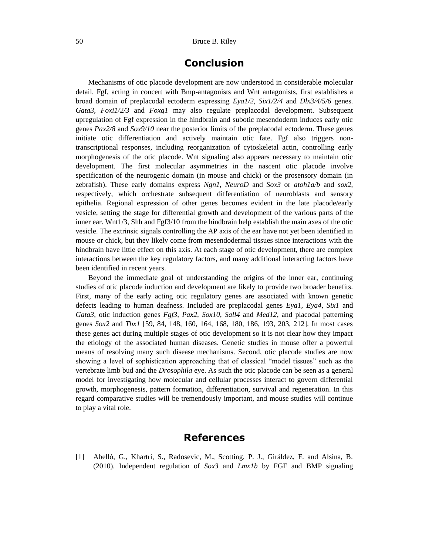# **Conclusion**

Mechanisms of otic placode development are now understood in considerable molecular detail. Fgf, acting in concert with Bmp-antagonists and Wnt antagonists, first establishes a broad domain of preplacodal ectoderm expressing *Eya1/2*, *Six1/2/4* and *Dlx3/4/5/6* genes. *Gata3*, *Foxi1/2/3* and *Foxg1* may also regulate preplacodal development. Subsequent upregulation of Fgf expression in the hindbrain and subotic mesendoderm induces early otic genes *Pax2/8* and *Sox9/10* near the posterior limits of the preplacodal ectoderm. These genes initiate otic differentiation and actively maintain otic fate. Fgf also triggers nontranscriptional responses, including reorganization of cytoskeletal actin, controlling early morphogenesis of the otic placode. Wnt signaling also appears necessary to maintain otic development. The first molecular asymmetries in the nascent otic placode involve specification of the neurogenic domain (in mouse and chick) or the prosensory domain (in zebrafish). These early domains express *Ngn1*, *NeuroD* and *Sox3* or *atoh1a/b* and *sox2*, respectively, which orchestrate subsequent differentiation of neuroblasts and sensory epithelia. Regional expression of other genes becomes evident in the late placode/early vesicle, setting the stage for differential growth and development of the various parts of the inner ear. Wnt1/3, Shh and Fgf3/10 from the hindbrain help establish the main axes of the otic vesicle. The extrinsic signals controlling the AP axis of the ear have not yet been identified in mouse or chick, but they likely come from mesendodermal tissues since interactions with the hindbrain have little effect on this axis. At each stage of otic development, there are complex interactions between the key regulatory factors, and many additional interacting factors have been identified in recent years.

Beyond the immediate goal of understanding the origins of the inner ear, continuing studies of otic placode induction and development are likely to provide two broader benefits. First, many of the early acting otic regulatory genes are associated with known genetic defects leading to human deafness. Included are preplacodal genes *Eya1*, *Eya4*, *Six1* and *Gata3*, otic induction genes *Fgf3*, *Pax2*, *Sox10*, *Sall4* and *Med12*, and placodal patterning genes *Sox2* and *Tbx1* [59, 84, 148, 160, 164, 168, 180, 186, 193, 203, 212]. In most cases these genes act during multiple stages of otic development so it is not clear how they impact the etiology of the associated human diseases. Genetic studies in mouse offer a powerful means of resolving many such disease mechanisms. Second, otic placode studies are now showing a level of sophistication approaching that of classical "model tissues" such as the vertebrate limb bud and the *Drosophila* eye. As such the otic placode can be seen as a general model for investigating how molecular and cellular processes interact to govern differential growth, morphogenesis, pattern formation, differentiation, survival and regeneration. In this regard comparative studies will be tremendously important, and mouse studies will continue to play a vital role.

# **References**

[1] Abelló, G., Khartri, S., Radosevic, M., Scotting, P. J., Giráldez, F. and Alsina, B. (2010). Independent regulation of *Sox3* and *Lmx1b* by FGF and BMP signaling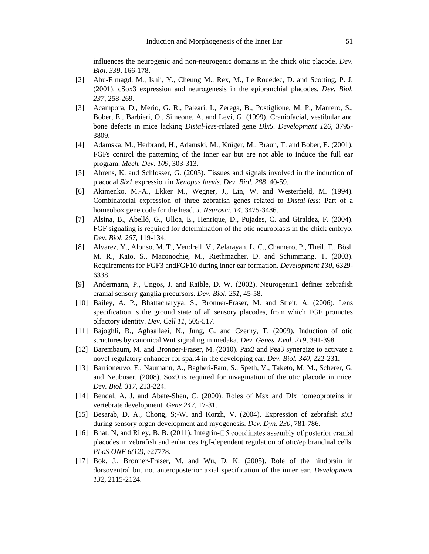influences the neurogenic and non-neurogenic domains in the chick otic placode. *Dev. Biol. 339*, 166-178.

- [2] Abu-Elmagd, M., Ishii, Y., Cheung M., Rex, M., Le Rouëdec, D. and Scotting, P. J. (2001). cSox3 expression and neurogenesis in the epibranchial placodes. *Dev. Biol. 237*, 258-269.
- [3] Acampora, D., Merio, G. R., Paleari, L, Zerega, B., Postiglione, M. P., Mantero, S., Bober, E., Barbieri, O., Simeone, A. and Levi, G. (1999). Craniofacial, vestibular and bone defects in mice lacking *Distal-less*-related gene *Dlx5. Development 126*, 3795- 3809.
- [4] Adamska, M., Herbrand, H., Adamski, M., Krüger, M., Braun, T. and Bober, E. (2001). FGFs control the patterning of the inner ear but are not able to induce the full ear program. *Mech. Dev. 109*, 303-313.
- [5] Ahrens, K. and Schlosser, G. (2005). Tissues and signals involved in the induction of placodal *Six1* expression in *Xenopus laevis. Dev. Biol. 288*, 40-59.
- [6] Akimenko, M.-A., Ekker M., Wegner, J., Lin, W. and Westerfield, M. (1994). Combinatorial expression of three zebrafish genes related to *Distal-less*: Part of a homeobox gene code for the head. *J. Neurosci. 14*, 3475-3486.
- [7] Alsina, B., Abelló, G., Ulloa, E., Henrique, D., Pujades, C. and Giraldez, F. (2004). FGF signaling is required for determination of the otic neuroblasts in the chick embryo*. Dev. Biol. 267*, 119-134.
- [8] Alvarez, Y., Alonso, M. T., Vendrell, V., Zelarayan, L. C., Chamero, P., Theil, T., Bösl, M. R., Kato, S., Maconochie, M., Riethmacher, D. and Schimmang, T. (2003). Requirements for FGF3 andFGF10 during inner ear formation. *Development 130*, 6329- 6338.
- [9] Andermann, P., Ungos, J. and Raible, D. W. (2002). Neurogenin1 defines zebrafish cranial sensory ganglia precursors. *Dev. Biol. 251*, 45-58.
- [10] Bailey, A. P., Bhattacharyya, S., Bronner-Fraser, M. and Streit, A. (2006). Lens specification is the ground state of all sensory placodes, from which FGF promotes olfactory identity. *Dev. Cell 11*, 505-517.
- [11] Bajoghli, B., Aghaallaei, N., Jung, G. and Czerny, T. (2009). Induction of otic structures by canonical Wnt signaling in medaka. *Dev. Genes. Evol. 219*, 391-398.
- [12] Barembaum, M. and Bronner-Fraser, M. (2010). Pax2 and Pea3 synergize to activate a novel regulatory enhancer for spalt4 in the developing ear. *Dev. Biol. 340*, 222-231.
- [13] Barrioneuvo, F., Naumann, A., Bagheri-Fam, S., Speth, V., Taketo, M. M., Scherer, G. and Neubüser. (2008). Sox9 is required for invagination of the otic placode in mice. *Dev. Biol. 317*, 213-224.
- [14] Bendal, A. J. and Abate-Shen, C. (2000). Roles of Msx and Dlx homeoproteins in vertebrate development*. Gene 247*, 17-31.
- [15] Besarab, D. A., Chong, S;-W. and Korzh, V. (2004). Expression of zebrafish *six1* during sensory organ development and myogenesis*. Dev. Dyn. 230*, 781-786.
- [16] Bhat, N, and Riley, B. B. (2011). Integrin- $\square$  5 coordinates assembly of posterior cranial placodes in zebrafish and enhances Fgf-dependent regulation of otic/epibranchial cells. *PLoS ONE 6(12)*, e27778.
- [17] Bok, J., Bronner-Fraser, M. and Wu, D. K. (2005). Role of the hindbrain in dorsoventral but not anteroposterior axial specification of the inner ear. *Development 132*, 2115-2124.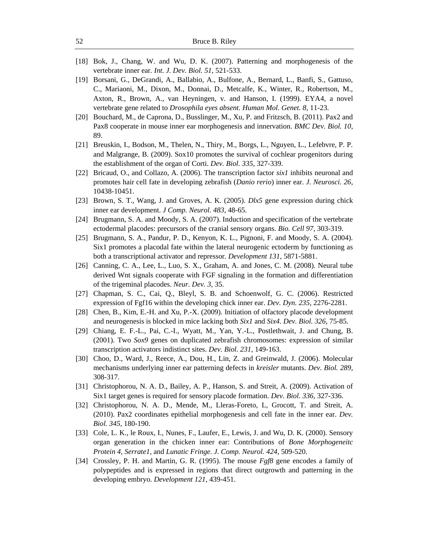- [18] Bok, J., Chang, W. and Wu, D. K. (2007). Patterning and morphogenesis of the vertebrate inner ear*. Int. J. Dev. Biol. 51*, 521-533.
- [19] Borsani, G., DeGrandi, A., Ballabio, A., Bulfone, A., Bernard, L., Banfi, S., Gattuso, C., Mariaoni, M., Dixon, M., Donnai, D., Metcalfe, K., Winter, R., Robertson, M., Axton, R., Brown, A., van Heyningen, v. and Hanson, I. (1999). EYA4, a novel vertebrate gene related to *Drosophila eyes absent. Human Mol. Genet. 8*, 11-23.
- [20] Bouchard, M., de Caprona, D., Busslinger, M., Xu, P. and Fritzsch, B. (2011). Pax2 and Pax8 cooperate in mouse inner ear morphogenesis and innervation. *BMC Dev. Biol. 10,*  89.
- [21] Breuskin, I., Bodson, M., Thelen, N., Thiry, M., Borgs, L., Nguyen, L., Lefebvre, P. P. and Malgrange, B. (2009). Sox10 promotes the survival of cochlear progenitors during the establishment of the organ of Corti. *Dev. Biol. 335*, 327-339.
- [22] Bricaud, O., and Collazo, A. (2006). The transcription factor *six1* inhibits neuronal and promotes hair cell fate in developing zebrafish (*Danio rerio*) inner ear. *J. Neurosci. 26*, 10438-10451.
- [23] Brown, S. T., Wang, J. and Groves, A. K. (2005). *Dlx5* gene expression during chick inner ear development. *J Comp. Neurol. 483*, 48-65.
- [24] Brugmann, S. A. and Moody, S. A. (2007). Induction and specification of the vertebrate ectodermal placodes: precursors of the cranial sensory organs. *Bio. Cell 97*, 303-319.
- [25] Brugmann, S. A., Pandur, P. D., Kenyon, K. L., Pignoni, F. and Moody, S. A. (2004). Six1 promotes a placodal fate within the lateral neurogenic ectoderm by functioning as both a transcriptional activator and repressor*. Development 131*, 5871-5881.
- [26] Canning, C. A., Lee, L., Luo, S. X., Graham, A. and Jones, C. M. (2008). Neural tube derived Wnt signals cooperate with FGF signaling in the formation and differentiation of the trigeminal placodes. *Neur. Dev. 3*, 35.
- [27] Chapman, S. C., Cai, Q., Bleyl, S. B. and Schoenwolf, G. C. (2006). Restricted expression of Fgf16 within the developing chick inner ear. *Dev. Dyn. 235*, 2276-2281.
- [28] Chen, B., Kim, E.-H. and Xu, P.-X. (2009). Initiation of olfactory placode development and neurogenesis is blocked in mice lacking both *Six1* and *Six4. Dev. Biol. 326*, 75-85.
- [29] Chiang, E. F.-L., Pai, C.-I., Wyatt, M., Yan, Y.-L., Postlethwait, J. and Chung, B. (2001). Two *Sox9* genes on duplicated zebrafish chromosomes: expression of similar transcription activators indistinct sites. *Dev. Biol. 231*, 149-163.
- [30] Choo, D., Ward, J., Reece, A., Dou, H., Lin, Z. and Greinwald, J. (2006). Molecular mechanisms underlying inner ear patterning defects in *kreisler* mutants. *Dev. Biol. 289*, 308-317.
- [31] Christophorou, N. A. D., Bailey, A. P., Hanson, S. and Streit, A. (2009). Activation of Six1 target genes is required for sensory placode formation. *Dev. Biol. 336*, 327-336.
- [32] Christophorou, N. A. D., Mende, M., Lleras-Foreto, L, Grocott, T. and Streit, A. (2010). Pax2 coordinates epithelial morphogenesis and cell fate in the inner ear. *Dev. Biol. 345*, 180-190.
- [33] Cole, L. K., le Roux, I., Nunes, F., Laufer, E., Lewis, J. and Wu, D. K. (2000). Sensory organ generation in the chicken inner ear: Contributions of *Bone Morphogeneitc Protein 4, Serrate1*, and *Lunatic Fringe. J. Comp. Neurol. 424*, 509-520.
- [34] Crossley, P. H. and Martin, G. R. (1995). The mouse *Fgf8* gene encodes a family of polypeptides and is expressed in regions that direct outgrowth and patterning in the developing embryo. *Development 121*, 439-451.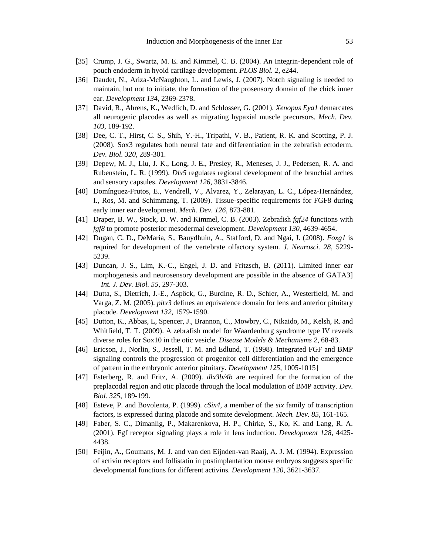- [35] Crump, J. G., Swartz, M. E. and Kimmel, C. B. (2004). An Integrin-dependent role of pouch endoderm in hyoid cartilage development. *PLOS Biol. 2*, e244.
- [36] Daudet, N., Ariza-McNaughton, L. and Lewis, J. (2007). Notch signaling is needed to maintain, but not to initiate, the formation of the prosensory domain of the chick inner ear. *Development 134*, 2369-2378.
- [37] David, R., Ahrens, K., Wedlich, D. and Schlosser, G. (2001). *Xenopus Eya1* demarcates all neurogenic placodes as well as migrating hypaxial muscle precursors*. Mech. Dev. 103*, 189-192.
- [38] Dee, C. T., Hirst, C. S., Shih, Y.-H., Tripathi, V. B., Patient, R. K. and Scotting, P. J. (2008). Sox3 regulates both neural fate and differentiation in the zebrafish ectoderm. *Dev. Biol. 320*, 289-301.
- [39] Depew, M. J., Liu, J. K., Long, J. E., Presley, R., Meneses, J. J., Pedersen, R. A. and Rubenstein, L. R. (1999). *Dlx5* regulates regional development of the branchial arches and sensory capsules. *Development 126*, 3831-3846.
- [40] Domínguez-Frutos, E., Vendrell, V., Alvarez, Y., Zelarayan, L. C., López-Hernández, I., Ros, M. and Schimmang, T. (2009). Tissue-specific requirements for FGF8 during early inner ear development. *Mech. Dev. 126*, 873-881.
- [41] Draper, B. W., Stock, D. W. and Kimmel, C. B. (2003). Zebrafish *fgf24* functions with *fgf8* to promote posterior mesodermal development. *Development 130*, 4639-4654.
- [42] Dugan, C. D., DeMaria, S., Bauydhuin, A., Stafford, D. and Ngai, J. (2008). *Foxg1* is required for development of the vertebrate olfactory system*. J. Neurosci. 28*, 5229- 5239.
- [43] Duncan, J. S., Lim, K.-C., Engel, J. D. and Fritzsch, B. (2011). Limited inner ear morphogenesis and neurosensory development are possible in the absence of GATA3] *Int. J. Dev. Biol. 55*, 297-303.
- [44] Dutta, S., Dietrich, J.-E., Aspöck, G., Burdine, R. D., Schier, A., Westerfield, M. and Varga, Z. M. (2005). *pitx3* defines an equivalence domain for lens and anterior pituitary placode. *Development 132*, 1579-1590.
- [45] Dutton, K., Abbas, L, Spencer, J., Brannon, C., Mowbry, C., Nikaido, M., Kelsh, R. and Whitfield, T. T. (2009). A zebrafish model for Waardenburg syndrome type IV reveals diverse roles for Sox10 in the otic vesicle. *Disease Models & Mechanisms 2*, 68-83.
- [46] Ericson, J., Norlin, S., Jessell, T. M. and Edlund, T. (1998). Integrated FGF and BMP signaling controls the progression of progenitor cell differentiation and the emergence of pattern in the embryonic anterior pituitary. *Development 125*, 1005-1015]
- [47] Esterberg, R. and Fritz, A. (2009). *dlx3b/4b* are required for the formation of the preplacodal region and otic placode through the local modulation of BMP activity. *Dev. Biol. 325*, 189-199.
- [48] Esteve, P. and Bovolenta, P. (1999). *cSix4*, a member of the *six* family of transcription factors, is expressed during placode and somite development. *Mech. Dev. 85*, 161-165.
- [49] Faber, S. C., Dimanlig, P., Makarenkova, H. P., Chirke, S., Ko, K. and Lang, R. A. (2001). Fgf receptor signaling plays a role in lens induction. *Development 128*, 4425- 4438.
- [50] Feijin, A., Goumans, M. J. and van den Eijnden-van Raaij, A. J. M. (1994). Expression of activin receptors and follistatin in postimplantation mouse embryos suggests specific developmental functions for different activins. *Development 120*, 3621-3637.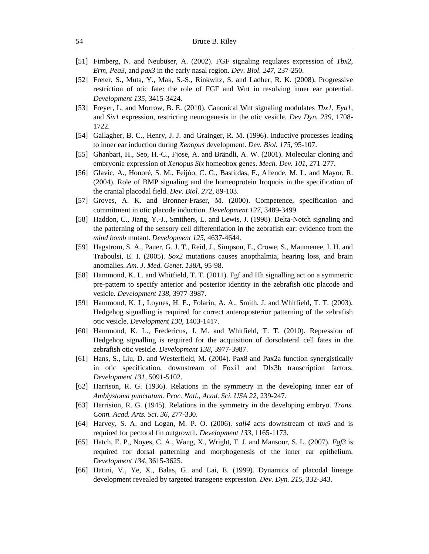- [51] Firnberg, N. and Neubüser, A. (2002). FGF signaling regulates expression of *Tbx2*, *Erm*, *Pea3*, and *pax3* in the early nasal region. *Dev. Biol. 247*, 237-250.
- [52] Freter, S., Muta, Y., Mak, S.-S., Rinkwitz, S. and Ladher, R. K. (2008). Progressive restriction of otic fate: the role of FGF and Wnt in resolving inner ear potential. *Development 135*, 3415-3424.
- [53] Freyer, L, and Morrow, B. E. (2010). Canonical Wnt signaling modulates *Tbx1*, *Eya1*, and *Six1* expression, restricting neurogenesis in the otic vesicle. *Dev Dyn. 239*, 1708- 1722.
- [54] Gallagher, B. C., Henry, J. J. and Grainger, R. M. (1996). Inductive processes leading to inner ear induction during *Xenopus* development. *Dev. Biol. 175*, 95-107.
- [55] Ghanbari, H., Seo, H.-C., Fjose, A. and Brändli, A. W. (2001). Molecular cloning and embryonic expression of *Xenopus Six* homeobox genes. *Mech. Dev. 101*, 271-277.
- [56] Glavic, A., Honoré, S. M., Feijóo, C. G., Bastitdas, F., Allende, M. L. and Mayor, R. (2004). Role of BMP signaling and the homeoprotein Iroquois in the specification of the cranial placodal field. *Dev. Biol. 272*, 89-103.
- [57] Groves, A. K. and Bronner-Fraser, M. (2000). Competence, specification and commitment in otic placode induction. *Development 127*, 3489-3499.
- [58] Haddon, C., Jiang, Y.-J., Smithers, L. and Lewis, J. (1998). Delta-Notch signaling and the patterning of the sensory cell differentiation in the zebrafish ear: evidence from the *mind bomb* mutant. *Development 125*, 4637-4644.
- [59] Hagstrom, S. A., Pauer, G. J. T., Reid, J., Simpson, E., Crowe, S., Maumenee, I. H. and Traboulsi, E. I. (2005). *Sox2* mutations causes anopthalmia, hearing loss, and brain anomalies. *Am. J. Med. Genet. 138A*, 95-98.
- [58] Hammond, K. L. and Whitfield, T. T. (2011). Fgf and Hh signalling act on a symmetric pre-pattern to specify anterior and posterior identity in the zebrafish otic placode and vesicle. *Development 138*, 3977-3987.
- [59] Hammond, K. L, Loynes, H. E., Folarin, A. A., Smith, J. and Whitfield, T. T. (2003). Hedgehog signalling is required for correct anteroposterior patterning of the zebrafish otic vesicle. *Development 130*, 1403-1417.
- [60] Hammond, K. L., Fredericus, J. M. and Whitfield, T. T. (2010). Repression of Hedgehog signalling is required for the acquisition of dorsolateral cell fates in the zebrafish otic vesicle. *Development 138*, 3977-3987.
- [61] Hans, S., Liu, D. and Westerfield, M. (2004). Pax8 and Pax2a function synergistically in otic specification, downstream of Foxi1 and Dlx3b transcription factors. *Development 131*, 5091-5102.
- [62] Harrison, R. G. (1936). Relations in the symmetry in the developing inner ear of *Amblystoma punctatum. Proc. Natl., Acad. Sci. USA 22*, 239-247.
- [63] Harrision, R. G. (1945). Relations in the symmetry in the developing embryo. *Trans. Conn. Acad. Arts. Sci. 36*, 277-330.
- [64] Harvey, S. A. and Logan, M. P. O. (2006). *sall4* acts downstream of *tbx5* and is required for pectoral fin outgrowth. *Development 133*, 1165-1173.
- [65] Hatch, E. P., Noyes, C. A., Wang, X., Wright, T. J. and Mansour, S. L. (2007). *Fgf3* is required for dorsal patterning and morphogenesis of the inner ear epithelium. *Development 134*, 3615-3625.
- [66] Hatini, V., Ye, X., Balas, G. and Lai, E. (1999). Dynamics of placodal lineage development revealed by targeted transgene expression. *Dev. Dyn. 215*, 332-343.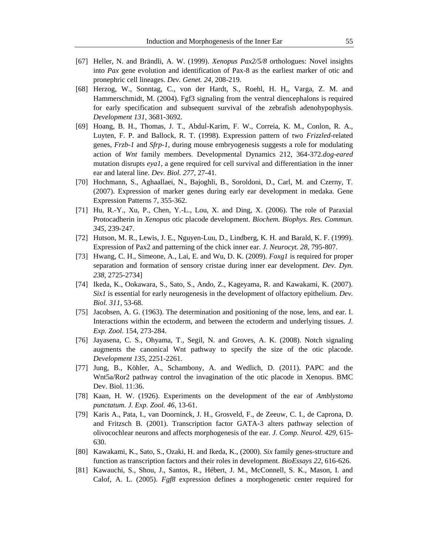- [67] Heller, N. and Brändli, A. W. (1999). *Xenopus Pax2/5/8* orthologues: Novel insights into *Pax* gene evolution and identification of Pax-8 as the earliest marker of otic and pronephric cell lineages. *Dev. Genet. 24*, 208-219.
- [68] Herzog, W., Sonntag, C., von der Hardt, S., Roehl, H. H,, Varga, Z. M. and Hammerschmidt, M. (2004). Fgf3 signaling from the ventral diencephalons is required for early specification and subsequent survival of the zebrafish adenohypophysis. *Development 131*, 3681-3692.
- [69] Hoang, B. H., Thomas, J. T., Abdul-Karim, F. W., Correia, K. M., Conlon, R. A., Luyten, F. P. and Ballock, R. T. (1998). Expression pattern of two *Frizzled*-related genes, *Frzb-1* and *Sfrp-1*, during mouse embryogenesis suggests a role for modulating action of *Wnt* family members. Developmental Dynamics 212, 364-372.*dog-eared* mutation disrupts *eya1*, a gene required for cell survival and differentiation in the inner ear and lateral line. *Dev. Biol. 277*, 27-41.
- [70] Hochmann, S., Aghaallaei, N., Bajoghli, B., Soroldoni, D., Carl, M. and Czerny, T. (2007). Expression of marker genes during early ear development in medaka. Gene Expression Patterns 7, 355-362.
- [71] Hu, R.-Y., Xu, P., Chen, Y.-L., Lou, X. and Ding, X. (2006). The role of Paraxial Protocadherin in *Xenopus* otic placode development*. Biochem. Biophys. Res. Commun. 345*, 239-247.
- [72] Hutson, M. R., Lewis, J. E., Nguyen-Luu, D., Lindberg, K. H. and Barald, K. F. (1999). Expression of Pax2 and patterning of the chick inner ear*. J. Neurocyt. 28*, 795-807.
- [73] Hwang, C. H., Simeone, A., Lai, E. and Wu, D. K. (2009). *Foxg1* is required for proper separation and formation of sensory cristae during inner ear development. *Dev. Dyn. 238*, 2725-2734]
- [74] Ikeda, K., Ookawara, S., Sato, S., Ando, Z., Kageyama, R. and Kawakami, K. (2007). *Six1* is essential for early neurogenesis in the development of olfactory epithelium. *Dev. Biol. 311*, 53-68.
- [75] Jacobsen, A. G. (1963). The determination and positioning of the nose, lens, and ear. I. Interactions within the ectoderm, and between the ectoderm and underlying tissues*. J. Exp. Zool*. 154, 273-284.
- [76] Jayasena, C. S., Ohyama, T., Segil, N. and Groves, A. K. (2008). Notch signaling augments the canonical Wnt pathway to specify the size of the otic placode. *Development 135*, 2251-2261.
- [77] Jung, B., Köhler, A., Schambony, A. and Wedlich, D. (2011). PAPC and the Wnt5a/Ror2 pathway control the invagination of the otic placode in Xenopus. BMC Dev. Biol. 11:36.
- [78] Kaan, H. W. (1926). Experiments on the development of the ear of *Amblystoma punctatum. J. Exp. Zool. 46*, 13-61.
- [79] Karis A., Pata, I., van Doorninck, J. H., Grosveld, F., de Zeeuw, C. I., de Caprona, D. and Fritzsch B. (2001). Transcription factor GATA-3 alters pathway selection of olivocochlear neurons and affects morphogenesis of the ear. *J. Comp. Neurol. 429*, 615- 630.
- [80] Kawakami, K., Sato, S., Ozaki, H. and Ikeda, K., (2000). *Six* family genes-structure and function as transcription factors and their roles in development. *BioEssays 22*, 616-626.
- [81] Kawauchi, S., Shou, J., Santos, R., Hébert, J. M., McConnell, S. K., Mason, I. and Calof, A. L. (2005). *Fgf8* expression defines a morphogenetic center required for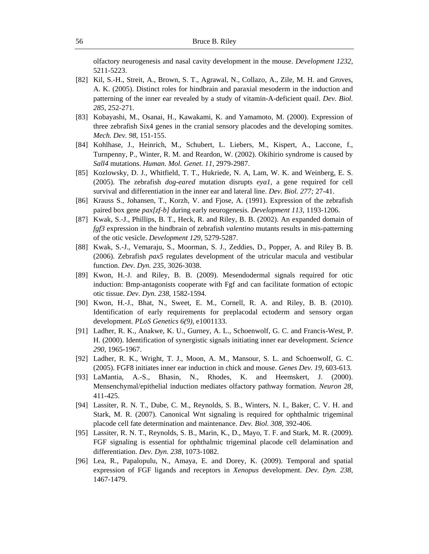olfactory neurogenesis and nasal cavity development in the mouse. *Development 1232*, 5211-5223.

- [82] Kil, S.-H., Streit, A., Brown, S. T., Agrawal, N., Collazo, A., Zile, M. H. and Groves, A. K. (2005). Distinct roles for hindbrain and paraxial mesoderm in the induction and patterning of the inner ear revealed by a study of vitamin-A-deficient quail. *Dev. Biol. 285*, 252-271.
- [83] Kobayashi, M., Osanai, H., Kawakami, K. and Yamamoto, M. (2000). Expression of three zebrafish Six4 genes in the cranial sensory placodes and the developing somites. *Mech. Dev. 98*, 151-155.
- [84] Kohlhase, J., Heinrich, M., Schubert, L. Liebers, M., Kispert, A., Laccone, f., Turnpenny, P., Winter, R. M. and Reardon, W. (2002). Okihirio syndrome is caused by *Sall4* mutations. *Human. Mol. Genet. 11*, 2979-2987.
- [85] Kozlowsky, D. J., Whitfield, T. T., Hukriede, N. A, Lam, W. K. and Weinberg, E. S. (2005). The zebrafish *dog-eared* mutation disrupts *eya1*, a gene required for cell survival and differentiation in the inner ear and lateral line. *Dev. Biol. 277;* 27-41.
- [86] Krauss S., Johansen, T., Korzh, V. and Fjose, A. (1991). Expression of the zebrafish paired box gene *pax[zf-b]* during early neurogenesis*. Development 113*, 1193-1206.
- [87] Kwak, S.-J., Phillips, B. T., Heck, R. and Riley, B. B. (2002). An expanded domain of *fgf3* expression in the hindbrain of zebrafish *valentino* mutants results in mis-patterning of the otic vesicle. *Development 129*, 5279-5287.
- [88] Kwak, S.-J., Vemaraju, S., Moorman, S. J., Zeddies, D., Popper, A. and Riley B. B. (2006). Zebrafish *pax5* regulates development of the utricular macula and vestibular function. *Dev. Dyn. 235*, 3026-3038.
- [89] Kwon, H.-J. and Riley, B. B. (2009). Mesendodermal signals required for otic induction: Bmp-antagonists cooperate with Fgf and can facilitate formation of ectopic otic tissue. *Dev. Dyn. 238*, 1582-1594.
- [90] Kwon, H.-J., Bhat, N., Sweet, E. M., Cornell, R. A. and Riley, B. B. (2010). Identification of early requirements for preplacodal ectoderm and sensory organ development. *PLoS Genetics 6(9)*, e1001133.
- [91] Ladher, R. K., Anakwe, K. U., Gurney, A. L., Schoenwolf, G. C. and Francis-West, P. H. (2000). Identification of synergistic signals initiating inner ear development. *Science 290*, 1965-1967.
- [92] Ladher, R. K., Wright, T. J., Moon, A. M., Mansour, S. L. and Schoenwolf, G. C. (2005). FGF8 initiates inner ear induction in chick and mouse. *Genes Dev. 19*, 603-613.
- [93] LaMantia, A.-S., Bhasin, N., Rhodes, K. and Heemskert, J. (2000). Mensenchymal/epithelial induction mediates olfactory pathway formation. *Neuron 28*, 411-425.
- [94] Lassiter, R. N. T., Dube, C. M., Reynolds, S. B., Winters, N. I., Baker, C. V. H. and Stark, M. R. (2007). Canonical Wnt signaling is required for ophthalmic trigeminal placode cell fate determination and maintenance. *Dev. Biol. 308*, 392-406.
- [95] Lassiter, R. N. T., Reynolds, S. B., Marin, K., D., Mayo, T. F. and Stark, M. R. (2009). FGF signaling is essential for ophthalmic trigeminal placode cell delamination and differentiation. *Dev. Dyn. 238*, 1073-1082.
- [96] Lea, R., Papalopulu, N., Amaya, E. and Dorey, K. (2009). Temporal and spatial expression of FGF ligands and receptors in *Xenopus* development. *Dev. Dyn. 238*, 1467-1479.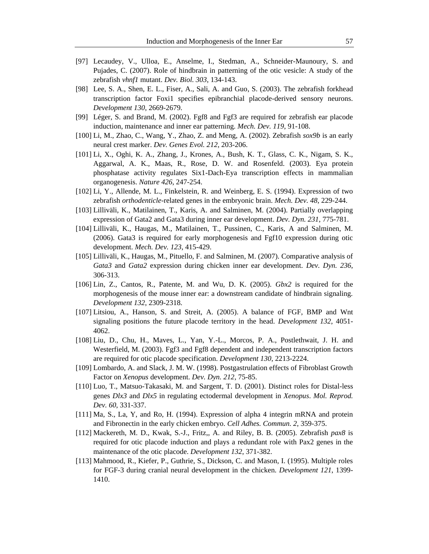- [97] Lecaudey, V., Ulloa, E., Anselme, I., Stedman, A., Schneider-Maunoury, S. and Pujades, C. (2007). Role of hindbrain in patterning of the otic vesicle: A study of the zebrafish *vhnf1* mutant. *Dev. Biol. 303*, 134-143.
- [98] Lee, S. A., Shen, E. L., Fiser, A., Sali, A. and Guo, S. (2003). The zebrafish forkhead transcription factor Foxi1 specifies epibranchial placode-derived sensory neurons. *Development 130*, 2669-2679.
- [99] Léger, S. and Brand, M. (2002). Fgf8 and Fgf3 are required for zebrafish ear placode induction, maintenance and inner ear patterning. *Mech. Dev. 119*, 91-108.
- [100] Li, M., Zhao, C., Wang, Y., Zhao, Z. and Meng, A. (2002). Zebrafish *sox9b* is an early neural crest marker. *Dev. Genes Evol. 212*, 203-206.
- [101] Li, X., Oghi, K. A., Zhang, J., Krones, A., Bush, K. T., Glass, C. K., Nigam, S. K., Aggarwal, A. K., Maas, R., Rose, D. W. and Rosenfeld. (2003). Eya protein phosphatase activity regulates Six1-Dach-Eya transcription effects in mammalian organogenesis. *Nature 426*, 247-254.
- [102] Li, Y., Allende, M. L., Finkelstein, R. and Weinberg, E. S. (1994). Expression of two zebrafish *orthodenticle*-related genes in the embryonic brain. *Mech. Dev. 48*, 229-244.
- [103] Lilliväli, K., Matilainen, T., Karis, A. and Salminen, M. (2004). Partially overlapping expression of Gata2 and Gata3 during inner ear development. *Dev. Dyn. 231*, 775-781.
- [104] Lilliväli, K., Haugas, M., Matilainen, T., Pussinen, C., Karis, A and Salminen, M. (2006). Gata3 is required for early morphogenesis and Fgf10 expression during otic development. *Mech. Dev. 123*, 415-429.
- [105] Lilliväli, K., Haugas, M., Pituello, F. and Salminen, M. (2007). Comparative analysis of *Gata3* and *Gata2* expression during chicken inner ear development. *Dev. Dyn. 236*, 306-313.
- [106] Lin, Z., Cantos, R., Patente, M. and Wu, D. K. (2005). *Gbx2* is required for the morphogenesis of the mouse inner ear: a downstream candidate of hindbrain signaling. *Development 132*, 2309-2318.
- [107] Litsiou, A., Hanson, S. and Streit, A. (2005). A balance of FGF, BMP and Wnt signaling positions the future placode territory in the head. *Development 132*, 4051- 4062.
- [108] Liu, D., Chu, H., Maves, L., Yan, Y.-L., Morcos, P. A., Postlethwait, J. H. and Westerfield, M. (2003). Fgf3 and Fgf8 dependent and independent transcription factors are required for otic placode specification. *Development 130*, 2213-2224.
- [109] Lombardo, A. and Slack, J. M. W. (1998). Postgastrulation effects of Fibroblast Growth Factor on *Xenopus* development. *Dev. Dyn. 212*, 75-85.
- [110] Luo, T., Matsuo-Takasaki, M. and Sargent, T. D. (2001). Distinct roles for Distal-less genes *Dlx3* and *Dlx5* in regulating ectodermal development in *Xenopus*. *Mol. Reprod. Dev. 60*, 331-337.
- [111] Ma, S., La, Y, and Ro, H. (1994). Expression of alpha 4 integrin mRNA and protein and Fibronectin in the early chicken embryo. *Cell Adhes. Commun. 2*, 359-375.
- [112] Mackereth, M. D., Kwak, S.-J., Fritz,, A. and Riley, B. B. (2005). Zebrafish *pax8* is required for otic placode induction and plays a redundant role with Pax2 genes in the maintenance of the otic placode. *Development 132*, 371-382.
- [113] Mahmood, R., Kiefer, P., Guthrie, S., Dickson, C. and Mason, I. (1995). Multiple roles for FGF-3 during cranial neural development in the chicken. *Development 121*, 1399- 1410.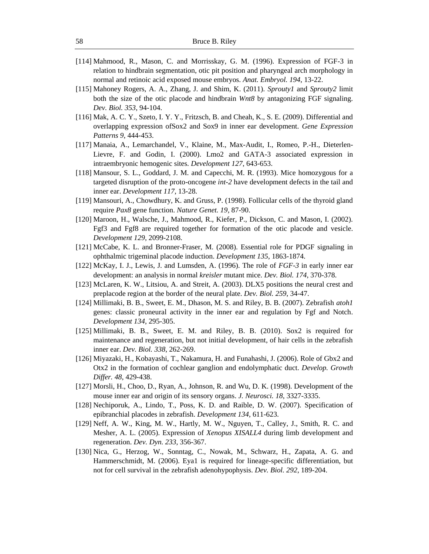- [114] Mahmood, R., Mason, C. and Morrisskay, G. M. (1996). Expression of FGF-3 in relation to hindbrain segmentation, otic pit position and pharyngeal arch morphology in normal and retinoic acid exposed mouse embryos. *Anat. Embryol. 194*, 13-22.
- [115] Mahoney Rogers, A. A., Zhang, J. and Shim, K. (2011). *Sprouty1* and *Sprouty2* limit both the size of the otic placode and hindbrain *Wnt8* by antagonizing FGF signaling. *Dev. Biol. 353*, 94-104.
- [116] Mak, A. C. Y., Szeto, I. Y. Y., Fritzsch, B. and Cheah, K., S. E. (2009). Differential and overlapping expression ofSox2 and Sox9 in inner ear development. *Gene Expression Patterns 9*, 444-453.
- [117] Manaia, A., Lemarchandel, V., Klaine, M., Max-Audit, I., Romeo, P.-H., Dieterlen-Lievre, F. and Godin, I. (2000). Lmo2 and GATA-3 associated expression in intraembryonic hemogenic sites. *Development 127*, 643-653.
- [118] Mansour, S. L., Goddard, J. M. and Capecchi, M. R. (1993). Mice homozygous for a targeted disruption of the proto-oncogene *int-2* have development defects in the tail and inner ear. *Development 117*, 13-28.
- [119] Mansouri, A., Chowdhury, K. and Gruss, P. (1998). Follicular cells of the thyroid gland require *Pax8* gene function. *Nature Genet. 19*, 87-90.
- [120] Maroon, H., Walsche, J., Mahmood, R., Kiefer, P., Dickson, C. and Mason, I. (2002). Fgf3 and Fgf8 are required together for formation of the otic placode and vesicle. *Development 129*, 2099-2108.
- [121] McCabe, K. L. and Bronner-Fraser, M. (2008). Essential role for PDGF signaling in ophthalmic trigeminal placode induction. *Development 135*, 1863-1874.
- [122] McKay, I. J., Lewis, J. and Lumsden, A. (1996). The role of *FGF-3* in early inner ear development: an analysis in normal *kreisler* mutant mice. *Dev. Biol. 174*, 370-378.
- [123] McLaren, K. W., Litsiou, A. and Streit, A. (2003). DLX5 positions the neural crest and preplacode region at the border of the neural plate. *Dev. Biol. 259*, 34-47.
- [124] Millimaki, B. B., Sweet, E. M., Dhason, M. S. and Riley, B. B. (2007). Zebrafish *atoh1* genes: classic proneural activity in the inner ear and regulation by Fgf and Notch. *Development 134*, 295-305.
- [125] Millimaki, B. B., Sweet, E. M. and Riley, B. B. (2010). Sox2 is required for maintenance and regeneration, but not initial development, of hair cells in the zebrafish inner ear. *Dev. Biol. 338*, 262-269.
- [126] Miyazaki, H., Kobayashi, T., Nakamura, H. and Funahashi, J. (2006). Role of Gbx2 and Otx2 in the formation of cochlear ganglion and endolymphatic duct. *Develop. Growth Differ. 48*, 429-438.
- [127] Morsli, H., Choo, D., Ryan, A., Johnson, R. and Wu, D. K. (1998). Development of the mouse inner ear and origin of its sensory organs. *J. Neurosci. 18*, 3327-3335.
- [128] Nechiporuk, A., Lindo, T., Poss, K. D. and Raible, D. W. (2007). Specification of epibranchial placodes in zebrafish. *Development 134*, 611-623.
- [129] Neff, A. W., King, M. W., Hartly, M. W., Nguyen, T., Calley, J., Smith, R. C. and Mesher, A. L. (2005). Expression of *Xenopus XISALL4* during limb development and regeneration. *Dev. Dyn. 233*, 356-367.
- [130] Nica, G., Herzog, W., Sonntag, C., Nowak, M., Schwarz, H., Zapata, A. G. and Hammerschmidt, M. (2006). Eya1 is required for lineage-specific differentiation, but not for cell survival in the zebrafish adenohypophysis. *Dev. Biol. 292*, 189-204.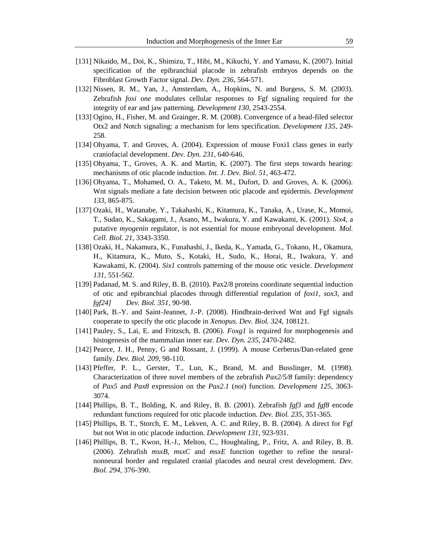- [131] Nikaido, M., Doi, K., Shimizu, T., Hibi, M., Kikuchi, Y. and Yamasu, K. (2007). Initial specification of the epibranchial placode in zebrafish embryos depends on the Fibroblast Growth Factor signal. *Dev. Dyn. 236*, 564-571.
- [132] Nissen, R. M., Yan, J., Amsterdam, A., Hopkins, N. and Burgess, S. M. (2003). Zebrafish *foxi one* modulates cellular responses to Fgf signaling required for the integrity of ear and jaw patterning. *Development 130*, 2543-2554.
- [133] Ogino, H., Fisher, M. and Grainger, R. M. (2008). Convergence of a head-filed selector Otx2 and Notch signaling: a mechanism for lens specification. *Development 135*, 249- 258.
- [134] Ohyama, T. and Groves, A. (2004). Expression of mouse Foxi1 class genes in early craniofacial development. *Dev. Dyn. 231*, 640-646.
- [135] Ohyama, T., Groves, A. K. and Martin, K. (2007). The first steps towards hearing: mechanisms of otic placode induction. *Int. J. Dev. Biol. 51*, 463-472.
- [136] Ohyama, T., Mohamed, O. A., Taketo, M. M., Dufort, D. and Groves, A. K. (2006). Wnt signals mediate a fate decision between otic placode and epidermis. *Development 133*, 865-875.
- [137] Ozaki, H., Watanabe, Y., Takahashi, K., Kitamura, K., Tanaka, A., Urase, K., Momoi, T., Sudao, K., Sakagami, J., Asano, M., Iwakura, Y. and Kawakami, K. (2001). *Six4*, a putative *myogenin* regulator, is not essential for mouse embryonal development. *Mol. Cell. Biol. 21*, 3343-3350.
- [138] Ozaki, H., Nakamura, K., Funahashi, J., Ikeda, K., Yamada, G., Tokano, H., Okamura, H., Kitamura, K., Muto, S., Kotaki, H., Sudo, K., Horai, R., Iwakura, Y. and Kawakami, K. (2004). *Six1* controls patterning of the mouse otic vesicle. *Development 131*, 551-562.
- [139] Padanad, M. S. and Riley, B. B. (2010). Pax2/8 proteins coordinate sequential induction of otic and epibranchial placodes through differential regulation of *foxi1*, *sox3*, and *fgf24] Dev. Biol. 351*, 90-98.
- [140] Park, B.-Y. and Saint-Jeannet, J.-P. (2008). Hindbrain-derived Wnt and Fgf signals cooperate to specify the otic placode in *Xenopus. Dev. Biol. 324*, 108121.
- [141] Pauley, S., Lai, E. and Fritzsch, B. (2006). *Foxg1* is required for morphogenesis and histogenesis of the mammalian inner ear. *Dev. Dyn. 235*, 2470-2482.
- [142] Pearce, J. H., Penny, G and Rossant, J. (1999). A mouse Cerberus/Dan-related gene family. *Dev. Biol. 209*, 98-110.
- [143] Pfeffer, P. L., Gerster, T., Lun, K., Brand, M. and Busslinger, M. (1998). Characterization of three novel members of the zebrafish *Pax2/5/8* family: dependency of *Pax5* and *Pax8* expression on the *Pax2.1* (*noi*) function. *Development 125*, 3063- 3074.
- [144] Phillips, B. T., Bolding, K. and Riley, B. B. (2001). Zebrafish *fgf3* and *fgf8* encode redundant functions required for otic placode induction. *Dev. Biol. 235*, 351-365.
- [145] Phillips, B. T., Storch, E. M., Lekven, A. C. and Riley, B. B. (2004). A direct for Fgf but not Wnt in otic placode induction. *Development 131*, 923-931.
- [146] Phillips, B. T., Kwon, H.-J., Melton, C., Houghtaling, P., Fritz, A. and Riley, B. B. (2006). Zebrafish *msxB*, *msxC* and *msxE* function together to refine the neuralnonneural border and regulated cranial placodes and neural crest development. *Dev. Biol. 294*, 376-390.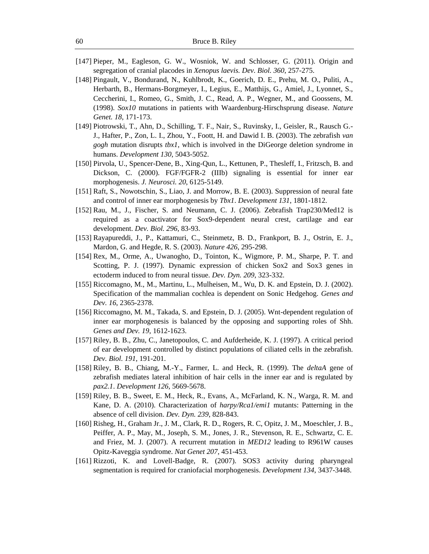- [147] Pieper, M., Eagleson, G. W., Wosniok, W. and Schlosser, G. (2011). Origin and segregation of cranial placodes in *Xenopus laevis. Dev. Biol. 360*, 257-275.
- [148] Pingault, V., Bondurand, N., Kuhlbrodt, K., Goerich, D. E., Prehu, M. O., Puliti, A., Herbarth, B., Hermans-Borgmeyer, I., Legius, E., Matthijs, G., Amiel, J., Lyonnet, S., Ceccherini, I., Romeo, G., Smith, J. C., Read, A. P., Wegner, M., and Goossens, M. (1998). *Sox10* mutations in patients with Waardenburg-Hirschsprung disease. *Nature Genet. 18*, 171-173.
- [149] Piotrowski, T., Ahn, D., Schilling, T. F., Nair, S., Ruvinsky, I., Geisler, R., Rausch G.- J., Hafter, P., Zon, L. I., Zhou, Y., Foott, H. and Dawid I. B. (2003). The zebrafish *van gogh* mutation disrupts *tbx1*, which is involved in the DiGeorge deletion syndrome in humans. *Development 130*, 5043-5052.
- [150] Pirvola, U., Spencer-Dene, B., Xing-Qun, L., Kettunen, P., Thesleff, I., Fritzsch, B. and Dickson, C. (2000). FGF/FGFR-2 (IIIb) signaling is essential for inner ear morphogenesis. *J. Neurosci. 20*, 6125-5149.
- [151] Raft, S., Nowotschin, S., Liao, J. and Morrow, B. E. (2003). Suppression of neural fate and control of inner ear morphogenesis by *Tbx1*. *Development 131*, 1801-1812.
- [152] Rau, M., J., Fischer, S. and Neumann, C. J. (2006). Zebrafish Trap230/Med12 is required as a coactivator for Sox9-dependent neural crest, cartilage and ear development. *Dev. Biol. 296*, 83-93.
- [153] Rayapureddi, J., P., Kattamuri, C., Steinmetz, B. D., Frankport, B. J., Ostrin, E. J., Mardon, G. and Hegde, R. S. (2003). *Nature 426*, 295-298.
- [154] Rex, M., Orme, A., Uwanogho, D., Tointon, K., Wigmore, P. M., Sharpe, P. T. and Scotting, P. J. (1997). Dynamic expression of chicken Sox2 and Sox3 genes in ectoderm induced to from neural tissue. *Dev. Dyn. 209*, 323-332.
- [155] Riccomagno, M., M., Martinu, L., Mulheisen, M., Wu, D. K. and Epstein, D. J. (2002). Specification of the mammalian cochlea is dependent on Sonic Hedgehog. *Genes and Dev. 16*, 2365-2378.
- [156] Riccomagno, M. M., Takada, S. and Epstein, D. J. (2005). Wnt-dependent regulation of inner ear morphogenesis is balanced by the opposing and supporting roles of Shh. *Genes and Dev. 19*, 1612-1623.
- [157] Riley, B. B., Zhu, C., Janetopoulos, C. and Aufderheide, K. J. (1997). A critical period of ear development controlled by distinct populations of ciliated cells in the zebrafish. *Dev. Biol. 191*, 191-201.
- [158] Riley, B. B., Chiang, M.-Y., Farmer, L. and Heck, R. (1999). The *deltaA* gene of zebrafish mediates lateral inhibition of hair cells in the inner ear and is regulated by *pax2.1*. *Development 126*, 5669-5678.
- [159] Riley, B. B., Sweet, E. M., Heck, R., Evans, A., McFarland, K. N., Warga, R. M. and Kane, D. A. (2010). Characterization of *harpy/Rca1/emi1* mutants: Patterning in the absence of cell division. *Dev. Dyn. 239*, 828-843.
- [160] Risheg, H., Graham Jr., J. M., Clark, R. D., Rogers, R. C, Opitz, J. M., Moeschler, J. B., Peiffer, A. P., May, M., Joseph, S. M., Jones, J. R., Stevenson, R. E., Schwartz, C. E. and Friez, M. J. (2007). A recurrent mutation in *MED12* leading to R961W causes Opitz-Kaveggia syndrome. *Nat Genet 207*, 451-453.
- [161] Rizzoti, K. and Lovell-Badge, R. (2007). SOS3 activity during pharyngeal segmentation is required for craniofacial morphogenesis. *Development 134*, 3437-3448.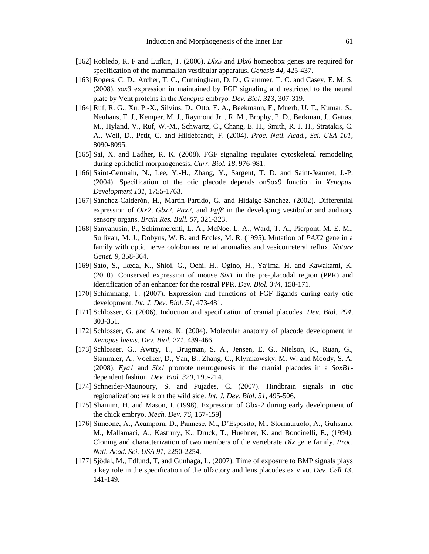- [162] Robledo, R. F and Lufkin, T. (2006). *Dlx5* and *Dlx6* homeobox genes are required for specification of the mammalian vestibular apparatus. *Genesis 44*, 425-437.
- [163] Rogers, C. D., Archer, T. C., Cunningham, D. D., Grammer, T. C. and Casey, E. M. S. (2008). *sox3* expression in maintained by FGF signaling and restricted to the neural plate by Vent proteins in the *Xenopus* embryo*. Dev. Biol. 313*, 307-319.
- [164] Ruf, R. G., Xu, P.-X., Silvius, D., Otto, E. A., Beekmann, F., Muerb, U. T., Kumar, S., Neuhaus, T. J., Kemper, M. J., Raymond Jr. , R. M., Brophy, P. D., Berkman, J., Gattas, M., Hyland, V., Ruf, W.-M., Schwartz, C., Chang, E. H., Smith, R. J. H., Stratakis, C. A., Weil, D., Petit, C. and Hildebrandt, F. (2004). *Proc. Natl. Acad., Sci. USA 101*, 8090-8095.
- [165] Sai, X. and Ladher, R. K. (2008). FGF signaling regulates cytoskeletal remodeling during eptithelial morphogenesis. *Curr. Biol. 18*, 976-981.
- [166] Saint-Germain, N., Lee, Y.-H., Zhang, Y., Sargent, T. D. and Saint-Jeannet, J.-P. (2004). Specification of the otic placode depends onSox9 function in *Xenopus*. *Development 131*, 1755-1763.
- [167] Sánchez-Calderón, H., Martin-Partido, G. and Hidalgo-Sánchez. (2002). Differential expression of *Otx2*, *Gbx2*, *Pax2*, and  $Fgf8$  in the developing vestibular and auditory sensory organs. *Brain Res. Bull. 57*, 321-323.
- [168] Sanyanusin, P., Schimmerenti, L. A., McNoe, L. A., Ward, T. A., Pierpont, M. E. M., Sullivan, M. J., Dobyns, W. B. and Eccles, M. R. (1995). Mutation of *PAX2* gene in a family with optic nerve colobomas, renal anomalies and vesicoureteral reflux. *Nature Genet. 9*, 358-364.
- [169] Sato, S., Ikeda, K., Shioi, G., Ochi, H., Ogino, H., Yajima, H. and Kawakami, K. (2010). Conserved expression of mouse *Six1* in the pre-placodal region (PPR) and identification of an enhancer for the rostral PPR. *Dev. Biol. 344*, 158-171.
- [170] Schimmang, T. (2007). Expression and functions of FGF ligands during early otic development. *Int. J. Dev. Biol. 51*, 473-481.
- [171] Schlosser, G. (2006). Induction and specification of cranial placodes. *Dev. Biol. 294*, 303-351.
- [172] Schlosser, G. and Ahrens, K. (2004). Molecular anatomy of placode development in *Xenopus laevis*. *Dev. Biol. 271*, 439-466.
- [173] Schlosser, G., Awtry, T., Brugman, S. A., Jensen, E. G., Nielson, K., Ruan, G., Stammler, A., Voelker, D., Yan, B., Zhang, C., Klymkowsky, M. W. and Moody, S. A. (2008). *Eya1* and *Six1* promote neurogenesis in the cranial placodes in a *SoxB1* dependent fashion. *Dev. Biol. 320*, 199-214.
- [174] Schneider-Maunoury, S. and Pujades, C. (2007). Hindbrain signals in otic regionalization: walk on the wild side. *Int. J. Dev. Biol. 51*, 495-506.
- [175] Shamim, H. and Mason, I. (1998). Expression of Gbx-2 during early development of the chick embryo. *Mech. Dev. 76*, 157-159]
- [176] Simeone, A., Acampora, D., Pannese, M., D'Esposito, M., Stornauiuolo, A., Gulisano, M., Mallamaci, A., Kastrury, K., Druck, T., Huebner, K. and Boncinelli, E., (1994). Cloning and characterization of two members of the vertebrate *Dlx* gene family*. Proc. Natl. Acad. Sci. USA 91*, 2250-2254.
- [177] Sjödal, M., Edlund, T, and Gunhaga, L. (2007). Time of exposure to BMP signals plays a key role in the specification of the olfactory and lens placodes ex vivo. *Dev. Cell 13*, 141-149.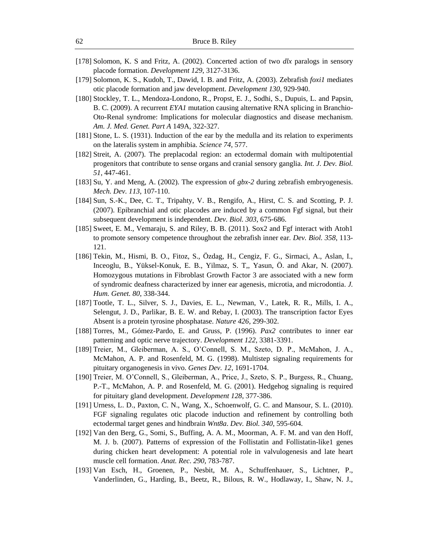- [178] Solomon, K. S and Fritz, A. (2002). Concerted action of two *dlx* paralogs in sensory placode formation. *Development 129*, 3127-3136.
- [179] Solomon, K. S., Kudoh, T., Dawid, I. B. and Fritz, A. (2003). Zebrafish *foxi1* mediates otic placode formation and jaw development. *Development 130*, 929-940.
- [180] Stockley, T. L., Mendoza-Londono, R., Propst, E. J., Sodhi, S., Dupuis, L. and Papsin, B. C. (2009). A recurrent *EYA1* mutation causing alternative RNA splicing in Branchio-Oto-Renal syndrome: Implications for molecular diagnostics and disease mechanism. *Am. J. Med. Genet. Part A* 149A, 322-327.
- [181] Stone, L. S. (1931). Induction of the ear by the medulla and its relation to experiments on the lateralis system in amphibia. *Science 74*, 577.
- [182] Streit, A. (2007). The preplacodal region: an ectodermal domain with multipotential progenitors that contribute to sense organs and cranial sensory ganglia. *Int. J. Dev. Biol. 51*, 447-461.
- [183] Su, Y. and Meng, A. (2002). The expression of *gbx-2* during zebrafish embryogenesis. *Mech. Dev. 113*, 107-110.
- [184] Sun, S.-K., Dee, C. T., Tripahty, V. B., Rengifo, A., Hirst, C. S. and Scotting, P. J. (2007). Epibranchial and otic placodes are induced by a common Fgf signal, but their subsequent development is independent. *Dev. Biol. 303*, 675-686.
- [185] Sweet, E. M., Vemaraju, S. and Riley, B. B. (2011). Sox2 and Fgf interact with Atoh1 to promote sensory competence throughout the zebrafish inner ear*. Dev. Biol. 358*, 113- 121.
- [186] Tekin, M., Hismi, B. O., Fitoz, S., Özdag, H., Cengiz, F. G., Sirmaci, A., Aslan, I., Inceoglu, B., Yüksel-Konuk, E. B., Yilmaz, S. T,, Yasun, Ö. and Akar, N. (2007). Homozygous mutations in Fibroblast Growth Factor 3 are associated with a new form of syndromic deafness characterized by inner ear agenesis, microtia, and microdontia. *J. Hum. Genet. 80*, 338-344.
- [187] Tootle, T. L., Silver, S. J., Davies, E. L., Newman, V., Latek, R. R., Mills, I. A., Selengut, J. D., Parlikar, B. E. W. and Rebay, I. (2003). The transcription factor Eyes Absent is a protein tyrosine phosphatase. *Nature 426*, 299-302.
- [188] Torres, M., Gómez-Pardo, E. and Gruss, P. (1996). *Pax2* contributes to inner ear patterning and optic nerve trajectory. *Development 122*, 3381-3391.
- [189] Treier, M., Gleiberman, A. S., O'Connell, S. M., Szeto, D. P., McMahon, J. A., McMahon, A. P. and Rosenfeld, M. G. (1998). Multistep signaling requirements for pituitary organogenesis in vivo. *Genes Dev. 12*, 1691-1704.
- [190] Treier, M. O'Connell, S., Gleiberman, A., Price, J., Szeto, S. P., Burgess, R., Chuang, P.-T., McMahon, A. P. and Rosenfeld, M. G. (2001). Hedgehog signaling is required for pituitary gland development. *Development 128*, 377-386.
- [191] Urness, L. D., Paxton, C. N., Wang, X., Schoenwolf, G. C. and Mansour, S. L. (2010). FGF signaling regulates otic placode induction and refinement by controlling both ectodermal target genes and hindbrain *Wnt8a*. *Dev. Biol. 340*, 595-604.
- [192] Van den Berg, G., Somi, S., Buffing, A. A. M., Moorman, A. F. M. and van den Hoff, M. J. b. (2007). Patterns of expression of the Follistatin and Follistatin-like1 genes during chicken heart development: A potential role in valvulogenesis and late heart muscle cell formation. *Anat. Rec. 290*, 783-787.
- [193] Van Esch, H., Groenen, P., Nesbit, M. A., Schuffenhauer, S., Lichtner, P., Vanderlinden, G., Harding, B., Beetz, R., Bilous, R. W., Hodlaway, I., Shaw, N. J.,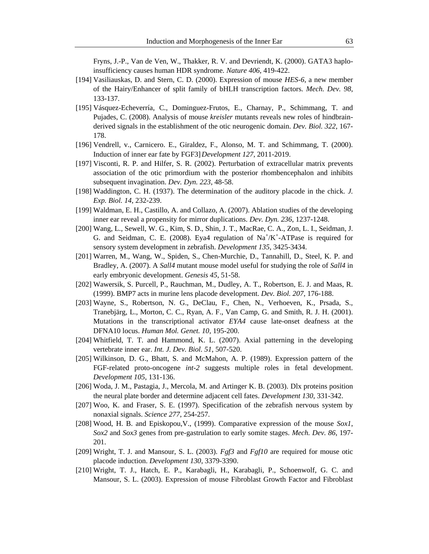Fryns, J.-P., Van de Ven, W., Thakker, R. V. and Devriendt, K. (2000). GATA3 haploinsufficiency causes human HDR syndrome*. Nature 406*, 419-422.

- [194] Vasiliauskas, D. and Stern, C. D. (2000). Expression of mouse *HES-6*, a new member of the Hairy/Enhancer of split family of bHLH transcription factors. *Mech. Dev. 98*, 133-137.
- [195] Vásquez-Echeverría, C., Dominguez-Frutos, E., Charnay, P., Schimmang, T. and Pujades, C. (2008). Analysis of mouse *kreisler* mutants reveals new roles of hindbrainderived signals in the establishment of the otic neurogenic domain. *Dev. Biol. 322*, 167- 178.
- [196] Vendrell, v., Carnicero. E., Giraldez, F., Alonso, M. T. and Schimmang, T. (2000). Induction of inner ear fate by FGF3]*Development 127*, 2011-2019.
- [197] Visconti, R. P. and Hilfer, S. R. (2002). Perturbation of extracellular matrix prevents association of the otic primordium with the posterior rhombencephalon and inhibits subsequent invagination. *Dev. Dyn. 223*, 48-58.
- [198] Waddington, C. H. (1937). The determination of the auditory placode in the chick. *J. Exp. Biol. 14*, 232-239.
- [199] Waldman, E. H., Castillo, A. and Collazo, A. (2007). Ablation studies of the developing inner ear reveal a propensity for mirror duplications. *Dev. Dyn. 236*, 1237-1248.
- [200] Wang, L., Sewell, W. G., Kim, S. D., Shin, J. T., MacRae, C. A., Zon, L. I., Seidman, J. G. and Seidman, C. E. (2008). Eya4 regulation of  $Na^+/K^+$ -ATPase is required for sensory system development in zebrafish. *Development 135*, 3425-3434.
- [201] Warren, M., Wang, W., Spiden, S., Chen-Murchie, D., Tannahill, D., Steel, K. P. and Bradley, A. (2007). A *Sall4* mutant mouse model useful for studying the role of *Sall4* in early embryonic development. *Genesis 45*, 51-58.
- [202] Wawersik, S. Purcell, P., Rauchman, M., Dudley, A. T., Robertson, E. J. and Maas, R. (1999). BMP7 acts in murine lens placode development. *Dev. Biol. 207*, 176-188.
- [203] Wayne, S., Robertson, N. G., DeClau, F., Chen, N., Verhoeven, K., Prsada, S., Tranebjärg, L., Morton, C. C., Ryan, A. F., Van Camp, G. and Smith, R. J. H. (2001). Mutations in the transcriptional activator *EYA4* cause late-onset deafness at the DFNA10 locus. *Human Mol. Genet. 10*, 195-200.
- [204] Whitfield, T. T. and Hammond, K. L. (2007). Axial patterning in the developing vertebrate inner ear. *Int. J. Dev. Biol. 51*, 507-520.
- [205] Wilkinson, D. G., Bhatt, S. and McMahon, A. P. (1989). Expression pattern of the FGF-related proto-oncogene *int-2* suggests multiple roles in fetal development. *Development 105*, 131-136.
- [206] Woda, J. M., Pastagia, J., Mercola, M. and Artinger K. B. (2003). Dlx proteins position the neural plate border and determine adjacent cell fates. *Development 130*, 331-342.
- [207] Woo, K. and Fraser, S. E. (1997). Specification of the zebrafish nervous system by nonaxial signals. *Science 277*, 254-257.
- [208] Wood, H. B. and Episkopou,V., (1999). Comparative expression of the mouse *Sox1*, *Sox2* and *Sox3* genes from pre-gastrulation to early somite stages. *Mech. Dev. 86*, 197- 201.
- [209] Wright, T. J. and Mansour, S. L. (2003). *Fgf3* and *Fgf10* are required for mouse otic placode induction. *Development 130*, 3379-3390.
- [210] Wright, T. J., Hatch, E. P., Karabagli, H., Karabagli, P., Schoenwolf, G. C. and Mansour, S. L. (2003). Expression of mouse Fibroblast Growth Factor and Fibroblast